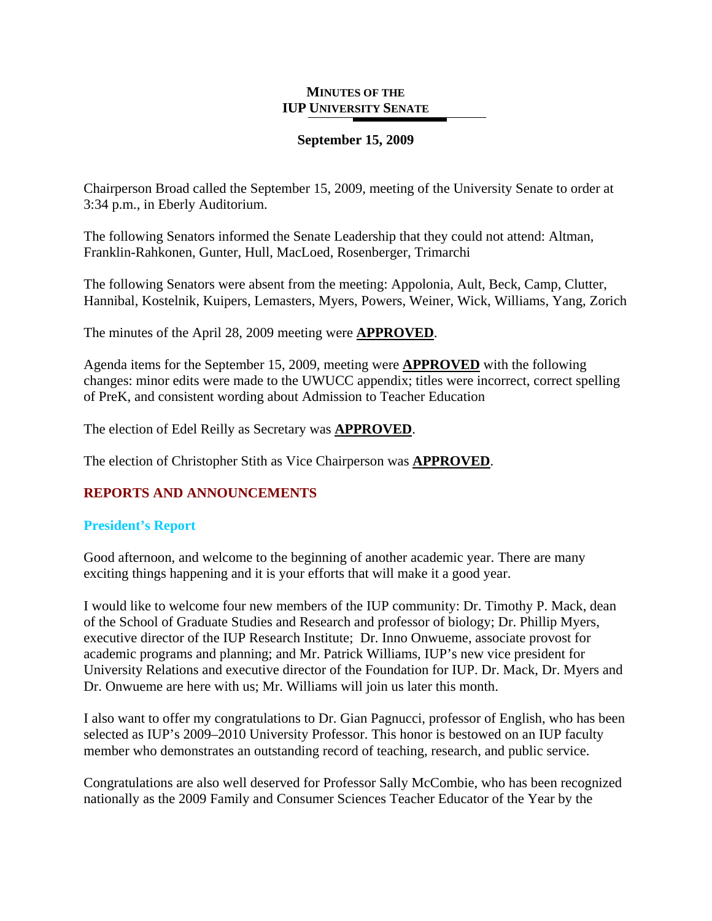## **MINUTES OF THE IUP UNIVERSITY SENATE**

# **September 15, 2009**

Chairperson Broad called the September 15, 2009, meeting of the University Senate to order at 3:34 p.m., in Eberly Auditorium.

The following Senators informed the Senate Leadership that they could not attend: Altman, Franklin-Rahkonen, Gunter, Hull, MacLoed, Rosenberger, Trimarchi

The following Senators were absent from the meeting: Appolonia, Ault, Beck, Camp, Clutter, Hannibal, Kostelnik, Kuipers, Lemasters, Myers, Powers, Weiner, Wick, Williams, Yang, Zorich

The minutes of the April 28, 2009 meeting were **APPROVED**.

Agenda items for the September 15, 2009, meeting were **APPROVED** with the following changes: minor edits were made to the UWUCC appendix; titles were incorrect, correct spelling of PreK, and consistent wording about Admission to Teacher Education

The election of Edel Reilly as Secretary was **APPROVED**.

The election of Christopher Stith as Vice Chairperson was **APPROVED**.

# **REPORTS AND ANNOUNCEMENTS**

# **President's Report**

Good afternoon, and welcome to the beginning of another academic year. There are many exciting things happening and it is your efforts that will make it a good year.

I would like to welcome four new members of the IUP community: Dr. Timothy P. Mack, dean of the School of Graduate Studies and Research and professor of biology; Dr. Phillip Myers, executive director of the IUP Research Institute; Dr. Inno Onwueme, associate provost for academic programs and planning; and Mr. Patrick Williams, IUP's new vice president for University Relations and executive director of the Foundation for IUP. Dr. Mack, Dr. Myers and Dr. Onwueme are here with us; Mr. Williams will join us later this month.

I also want to offer my congratulations to Dr. Gian Pagnucci, professor of English, who has been selected as IUP's 2009–2010 University Professor. This honor is bestowed on an IUP faculty member who demonstrates an outstanding record of teaching, research, and public service.

Congratulations are also well deserved for Professor Sally McCombie, who has been recognized nationally as the 2009 Family and Consumer Sciences Teacher Educator of the Year by the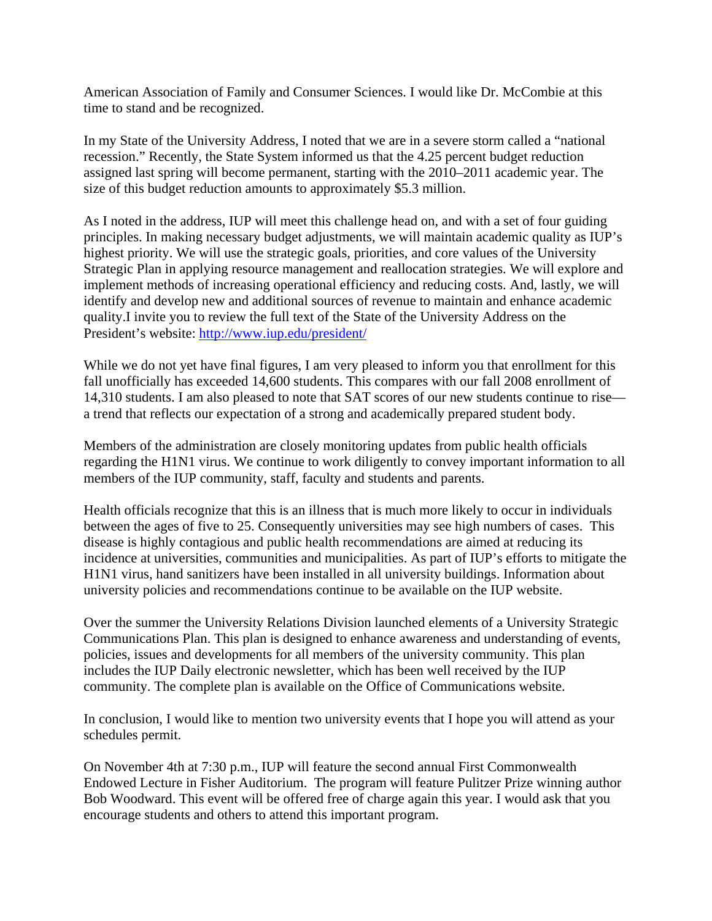American Association of Family and Consumer Sciences. I would like Dr. McCombie at this time to stand and be recognized.

In my State of the University Address, I noted that we are in a severe storm called a "national recession." Recently, the State System informed us that the 4.25 percent budget reduction assigned last spring will become permanent, starting with the 2010–2011 academic year. The size of this budget reduction amounts to approximately \$5.3 million.

As I noted in the address, IUP will meet this challenge head on, and with a set of four guiding principles. In making necessary budget adjustments, we will maintain academic quality as IUP's highest priority. We will use the strategic goals, priorities, and core values of the University Strategic Plan in applying resource management and reallocation strategies. We will explore and implement methods of increasing operational efficiency and reducing costs. And, lastly, we will identify and develop new and additional sources of revenue to maintain and enhance academic quality.I invite you to review the full text of the State of the University Address on the President's website:<http://www.iup.edu/president/>

While we do not yet have final figures, I am very pleased to inform you that enrollment for this fall unofficially has exceeded 14,600 students. This compares with our fall 2008 enrollment of 14,310 students. I am also pleased to note that SAT scores of our new students continue to rise a trend that reflects our expectation of a strong and academically prepared student body.

Members of the administration are closely monitoring updates from public health officials regarding the H1N1 virus. We continue to work diligently to convey important information to all members of the IUP community, staff, faculty and students and parents.

Health officials recognize that this is an illness that is much more likely to occur in individuals between the ages of five to 25. Consequently universities may see high numbers of cases. This disease is highly contagious and public health recommendations are aimed at reducing its incidence at universities, communities and municipalities. As part of IUP's efforts to mitigate the H1N1 virus, hand sanitizers have been installed in all university buildings. Information about university policies and recommendations continue to be available on the IUP website.

Over the summer the University Relations Division launched elements of a University Strategic Communications Plan. This plan is designed to enhance awareness and understanding of events, policies, issues and developments for all members of the university community. This plan includes the IUP Daily electronic newsletter, which has been well received by the IUP community. The complete plan is available on the Office of Communications website.

In conclusion, I would like to mention two university events that I hope you will attend as your schedules permit.

On November 4th at 7:30 p.m., IUP will feature the second annual First Commonwealth Endowed Lecture in Fisher Auditorium. The program will feature Pulitzer Prize winning author Bob Woodward. This event will be offered free of charge again this year. I would ask that you encourage students and others to attend this important program.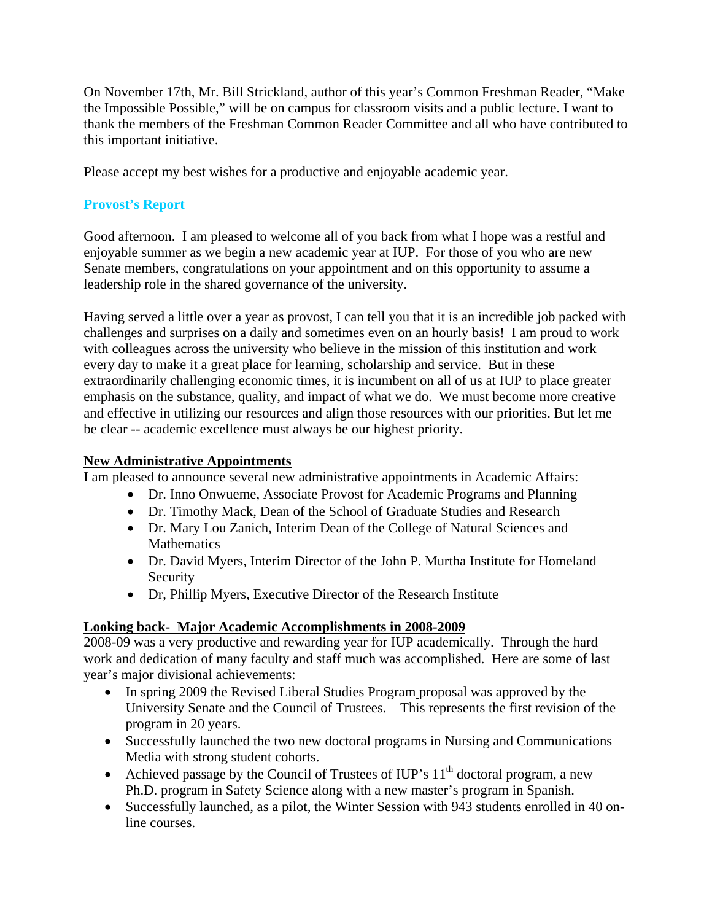On November 17th, Mr. Bill Strickland, author of this year's Common Freshman Reader, "Make the Impossible Possible," will be on campus for classroom visits and a public lecture. I want to thank the members of the Freshman Common Reader Committee and all who have contributed to this important initiative.

Please accept my best wishes for a productive and enjoyable academic year.

# **Provost's Report**

Good afternoon. I am pleased to welcome all of you back from what I hope was a restful and enjoyable summer as we begin a new academic year at IUP. For those of you who are new Senate members, congratulations on your appointment and on this opportunity to assume a leadership role in the shared governance of the university.

Having served a little over a year as provost, I can tell you that it is an incredible job packed with challenges and surprises on a daily and sometimes even on an hourly basis! I am proud to work with colleagues across the university who believe in the mission of this institution and work every day to make it a great place for learning, scholarship and service. But in these extraordinarily challenging economic times, it is incumbent on all of us at IUP to place greater emphasis on the substance, quality, and impact of what we do. We must become more creative and effective in utilizing our resources and align those resources with our priorities. But let me be clear -- academic excellence must always be our highest priority.

# **New Administrative Appointments**

I am pleased to announce several new administrative appointments in Academic Affairs:

- Dr. Inno Onwueme, Associate Provost for Academic Programs and Planning
- Dr. Timothy Mack, Dean of the School of Graduate Studies and Research
- Dr. Mary Lou Zanich, Interim Dean of the College of Natural Sciences and **Mathematics**
- Dr. David Myers, Interim Director of the John P. Murtha Institute for Homeland Security
- Dr, Phillip Myers, Executive Director of the Research Institute

# **Looking back- Major Academic Accomplishments in 2008-2009**

2008-09 was a very productive and rewarding year for IUP academically. Through the hard work and dedication of many faculty and staff much was accomplished. Here are some of last year's major divisional achievements:

- In spring 2009 the Revised Liberal Studies Program proposal was approved by the University Senate and the Council of Trustees. This represents the first revision of the program in 20 years.
- Successfully launched the two new doctoral programs in Nursing and Communications Media with strong student cohorts.
- Achieved passage by the Council of Trustees of IUP's  $11<sup>th</sup>$  doctoral program, a new Ph.D. program in Safety Science along with a new master's program in Spanish.
- Successfully launched, as a pilot, the Winter Session with 943 students enrolled in 40 online courses.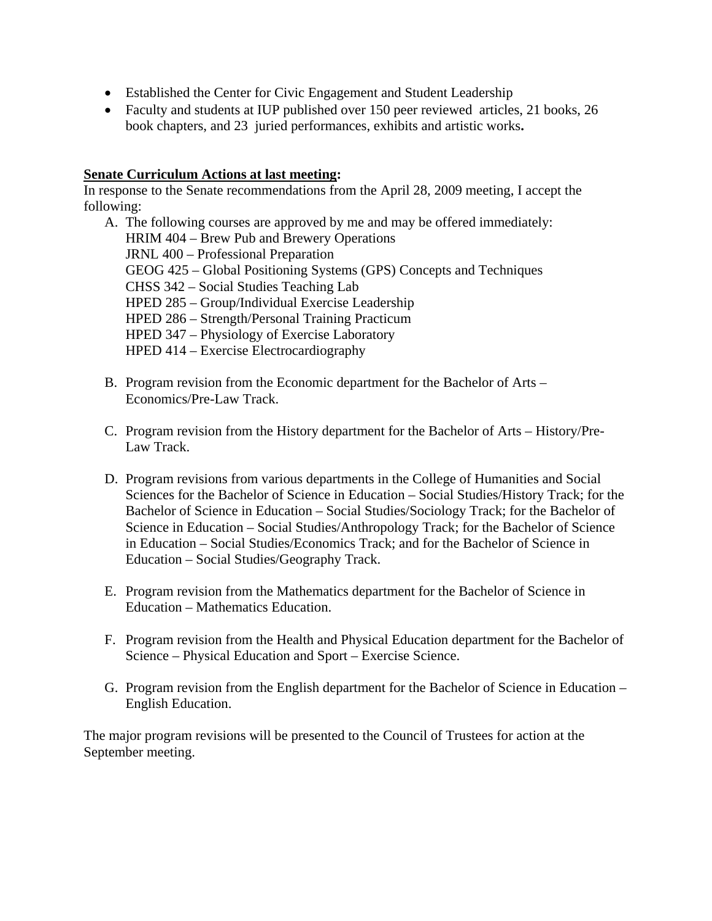- Established the Center for Civic Engagement and Student Leadership
- Faculty and students at IUP published over 150 peer reviewed articles, 21 books, 26 book chapters, and 23 juried performances, exhibits and artistic works**.**

# **Senate Curriculum Actions at last meeting:**

In response to the Senate recommendations from the April 28, 2009 meeting, I accept the following:

A. The following courses are approved by me and may be offered immediately: HRIM 404 – Brew Pub and Brewery Operations JRNL 400 – Professional Preparation GEOG 425 – Global Positioning Systems (GPS) Concepts and Techniques CHSS 342 – Social Studies Teaching Lab HPED 285 – Group/Individual Exercise Leadership HPED 286 – Strength/Personal Training Practicum HPED 347 – Physiology of Exercise Laboratory HPED 414 – Exercise Electrocardiography

- B. Program revision from the Economic department for the Bachelor of Arts Economics/Pre-Law Track.
- C. Program revision from the History department for the Bachelor of Arts History/Pre-Law Track.
- D. Program revisions from various departments in the College of Humanities and Social Sciences for the Bachelor of Science in Education – Social Studies/History Track; for the Bachelor of Science in Education – Social Studies/Sociology Track; for the Bachelor of Science in Education – Social Studies/Anthropology Track; for the Bachelor of Science in Education – Social Studies/Economics Track; and for the Bachelor of Science in Education – Social Studies/Geography Track.
- E. Program revision from the Mathematics department for the Bachelor of Science in Education – Mathematics Education.
- F. Program revision from the Health and Physical Education department for the Bachelor of Science – Physical Education and Sport – Exercise Science.
- G. Program revision from the English department for the Bachelor of Science in Education English Education.

The major program revisions will be presented to the Council of Trustees for action at the September meeting.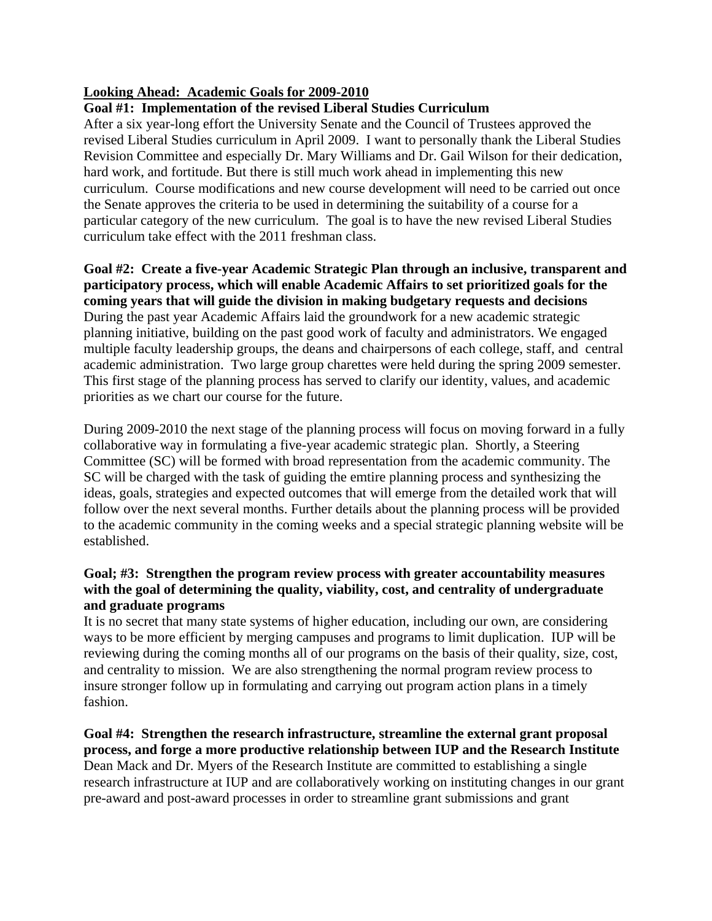# **Looking Ahead: Academic Goals for 2009-2010**

# **Goal #1: Implementation of the revised Liberal Studies Curriculum**

After a six year-long effort the University Senate and the Council of Trustees approved the revised Liberal Studies curriculum in April 2009. I want to personally thank the Liberal Studies Revision Committee and especially Dr. Mary Williams and Dr. Gail Wilson for their dedication, hard work, and fortitude. But there is still much work ahead in implementing this new curriculum. Course modifications and new course development will need to be carried out once the Senate approves the criteria to be used in determining the suitability of a course for a particular category of the new curriculum. The goal is to have the new revised Liberal Studies curriculum take effect with the 2011 freshman class.

# **Goal #2: Create a five-year Academic Strategic Plan through an inclusive, transparent and participatory process, which will enable Academic Affairs to set prioritized goals for the coming years that will guide the division in making budgetary requests and decisions**  During the past year Academic Affairs laid the groundwork for a new academic strategic planning initiative, building on the past good work of faculty and administrators. We engaged multiple faculty leadership groups, the deans and chairpersons of each college, staff, and central academic administration. Two large group charettes were held during the spring 2009 semester. This first stage of the planning process has served to clarify our identity, values, and academic priorities as we chart our course for the future.

During 2009-2010 the next stage of the planning process will focus on moving forward in a fully collaborative way in formulating a five-year academic strategic plan. Shortly, a Steering Committee (SC) will be formed with broad representation from the academic community. The SC will be charged with the task of guiding the emtire planning process and synthesizing the ideas, goals, strategies and expected outcomes that will emerge from the detailed work that will follow over the next several months. Further details about the planning process will be provided to the academic community in the coming weeks and a special strategic planning website will be established.

# **Goal; #3: Strengthen the program review process with greater accountability measures with the goal of determining the quality, viability, cost, and centrality of undergraduate and graduate programs**

It is no secret that many state systems of higher education, including our own, are considering ways to be more efficient by merging campuses and programs to limit duplication. IUP will be reviewing during the coming months all of our programs on the basis of their quality, size, cost, and centrality to mission. We are also strengthening the normal program review process to insure stronger follow up in formulating and carrying out program action plans in a timely fashion.

**Goal #4: Strengthen the research infrastructure, streamline the external grant proposal process, and forge a more productive relationship between IUP and the Research Institute**  Dean Mack and Dr. Myers of the Research Institute are committed to establishing a single research infrastructure at IUP and are collaboratively working on instituting changes in our grant pre-award and post-award processes in order to streamline grant submissions and grant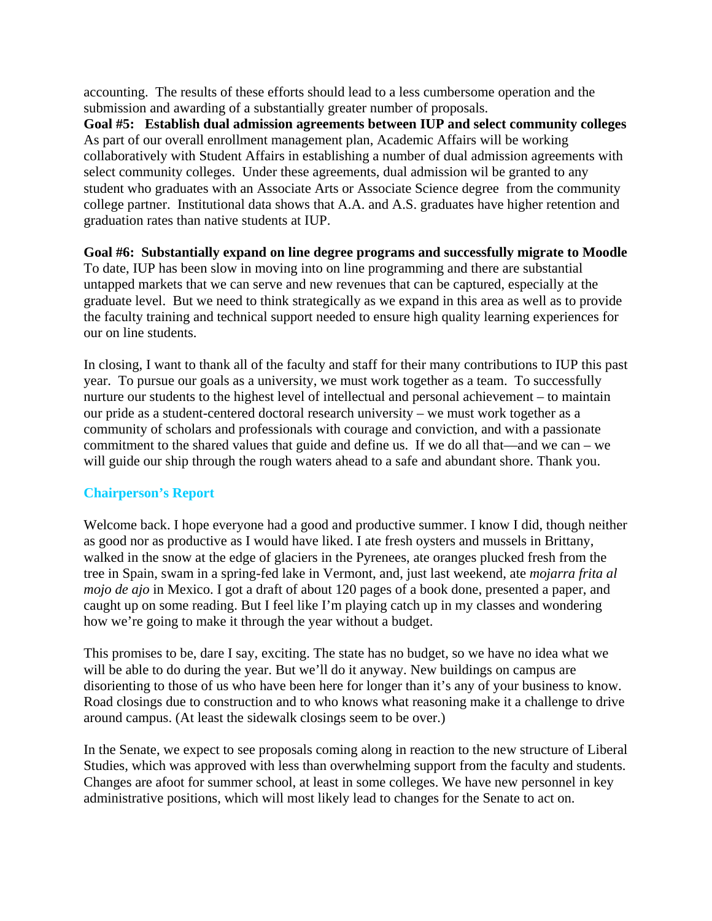accounting. The results of these efforts should lead to a less cumbersome operation and the submission and awarding of a substantially greater number of proposals.

**Goal #5: Establish dual admission agreements between IUP and select community colleges**  As part of our overall enrollment management plan, Academic Affairs will be working collaboratively with Student Affairs in establishing a number of dual admission agreements with select community colleges. Under these agreements, dual admission wil be granted to any student who graduates with an Associate Arts or Associate Science degree from the community college partner. Institutional data shows that A.A. and A.S. graduates have higher retention and graduation rates than native students at IUP.

**Goal #6: Substantially expand on line degree programs and successfully migrate to Moodle**  To date, IUP has been slow in moving into on line programming and there are substantial untapped markets that we can serve and new revenues that can be captured, especially at the graduate level. But we need to think strategically as we expand in this area as well as to provide the faculty training and technical support needed to ensure high quality learning experiences for our on line students.

In closing, I want to thank all of the faculty and staff for their many contributions to IUP this past year. To pursue our goals as a university, we must work together as a team. To successfully nurture our students to the highest level of intellectual and personal achievement – to maintain our pride as a student-centered doctoral research university – we must work together as a community of scholars and professionals with courage and conviction, and with a passionate commitment to the shared values that guide and define us. If we do all that—and we can – we will guide our ship through the rough waters ahead to a safe and abundant shore. Thank you.

# **Chairperson's Report**

Welcome back. I hope everyone had a good and productive summer. I know I did, though neither as good nor as productive as I would have liked. I ate fresh oysters and mussels in Brittany, walked in the snow at the edge of glaciers in the Pyrenees, ate oranges plucked fresh from the tree in Spain, swam in a spring-fed lake in Vermont, and, just last weekend, ate *mojarra frita al mojo de ajo* in Mexico. I got a draft of about 120 pages of a book done, presented a paper, and caught up on some reading. But I feel like I'm playing catch up in my classes and wondering how we're going to make it through the year without a budget.

This promises to be, dare I say, exciting. The state has no budget, so we have no idea what we will be able to do during the year. But we'll do it anyway. New buildings on campus are disorienting to those of us who have been here for longer than it's any of your business to know. Road closings due to construction and to who knows what reasoning make it a challenge to drive around campus. (At least the sidewalk closings seem to be over.)

In the Senate, we expect to see proposals coming along in reaction to the new structure of Liberal Studies, which was approved with less than overwhelming support from the faculty and students. Changes are afoot for summer school, at least in some colleges. We have new personnel in key administrative positions, which will most likely lead to changes for the Senate to act on.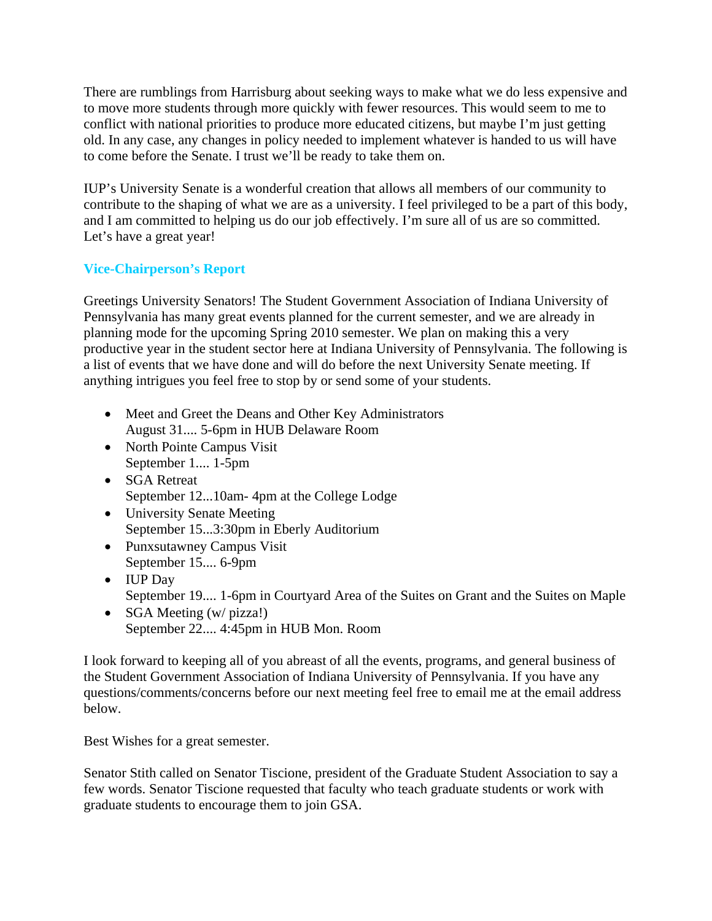There are rumblings from Harrisburg about seeking ways to make what we do less expensive and to move more students through more quickly with fewer resources. This would seem to me to conflict with national priorities to produce more educated citizens, but maybe I'm just getting old. In any case, any changes in policy needed to implement whatever is handed to us will have to come before the Senate. I trust we'll be ready to take them on.

IUP's University Senate is a wonderful creation that allows all members of our community to contribute to the shaping of what we are as a university. I feel privileged to be a part of this body, and I am committed to helping us do our job effectively. I'm sure all of us are so committed. Let's have a great year!

# **Vice-Chairperson's Report**

Greetings University Senators! The Student Government Association of Indiana University of Pennsylvania has many great events planned for the current semester, and we are already in planning mode for the upcoming Spring 2010 semester. We plan on making this a very productive year in the student sector here at Indiana University of Pennsylvania. The following is a list of events that we have done and will do before the next University Senate meeting. If anything intrigues you feel free to stop by or send some of your students.

- Meet and Greet the Deans and Other Key Administrators August 31.... 5-6pm in HUB Delaware Room
- North Pointe Campus Visit September 1.... 1-5pm
- **SGA Retreat** September 12...10am- 4pm at the College Lodge
- University Senate Meeting September 15...3:30pm in Eberly Auditorium
- Punxsutawney Campus Visit September 15.... 6-9pm
- IUP Day September 19.... 1-6pm in Courtyard Area of the Suites on Grant and the Suites on Maple
- SGA Meeting (w/ pizza!) September 22.... 4:45pm in HUB Mon. Room

I look forward to keeping all of you abreast of all the events, programs, and general business of the Student Government Association of Indiana University of Pennsylvania. If you have any questions/comments/concerns before our next meeting feel free to email me at the email address below.

Best Wishes for a great semester.

Senator Stith called on Senator Tiscione, president of the Graduate Student Association to say a few words. Senator Tiscione requested that faculty who teach graduate students or work with graduate students to encourage them to join GSA.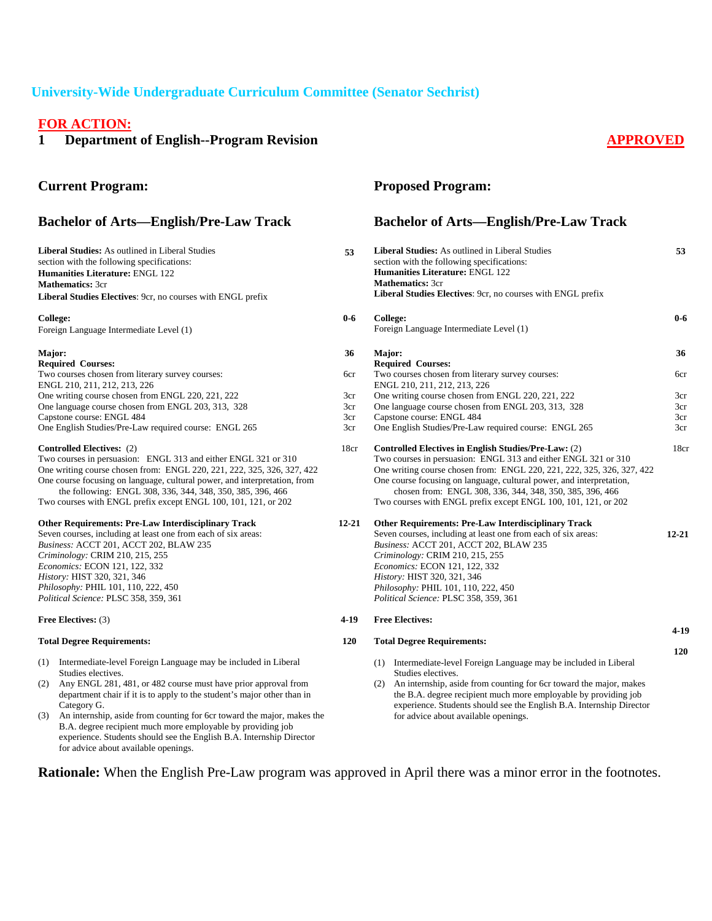# **University-Wide Undergraduate Curriculum Committee (Senator Sechrist)**

# **FOR ACTION:**

for advice about available openings.

**1** Department of English--Program Revision **APPROVED** 

| <b>Current Program:</b>                                                                                                                                                                                                                                                                                                                                                                                                                                                             |            | <b>Proposed Program:</b>                                                                                                                                                                                                                                                                                                                                                                               |            |
|-------------------------------------------------------------------------------------------------------------------------------------------------------------------------------------------------------------------------------------------------------------------------------------------------------------------------------------------------------------------------------------------------------------------------------------------------------------------------------------|------------|--------------------------------------------------------------------------------------------------------------------------------------------------------------------------------------------------------------------------------------------------------------------------------------------------------------------------------------------------------------------------------------------------------|------------|
| <b>Bachelor of Arts-English/Pre-Law Track</b>                                                                                                                                                                                                                                                                                                                                                                                                                                       |            | <b>Bachelor of Arts-English/Pre-Law Track</b>                                                                                                                                                                                                                                                                                                                                                          |            |
| <b>Liberal Studies:</b> As outlined in Liberal Studies<br>section with the following specifications:<br>Humanities Literature: ENGL 122<br><b>Mathematics: 3cr</b><br>Liberal Studies Electives: 9cr, no courses with ENGL prefix                                                                                                                                                                                                                                                   | 53         | <b>Liberal Studies:</b> As outlined in Liberal Studies<br>section with the following specifications:<br><b>Humanities Literature: ENGL 122</b><br><b>Mathematics: 3cr</b><br><b>Liberal Studies Electives:</b> 9cr, no courses with ENGL prefix                                                                                                                                                        | 53         |
| <b>College:</b><br>Foreign Language Intermediate Level (1)                                                                                                                                                                                                                                                                                                                                                                                                                          | $0-6$      | College:<br>Foreign Language Intermediate Level (1)                                                                                                                                                                                                                                                                                                                                                    | $0-6$      |
| Major:<br><b>Required Courses:</b>                                                                                                                                                                                                                                                                                                                                                                                                                                                  | 36         | Major:<br><b>Required Courses:</b>                                                                                                                                                                                                                                                                                                                                                                     | 36         |
| Two courses chosen from literary survey courses:<br>ENGL 210, 211, 212, 213, 226                                                                                                                                                                                                                                                                                                                                                                                                    | 6cr        | Two courses chosen from literary survey courses:<br>ENGL 210, 211, 212, 213, 226                                                                                                                                                                                                                                                                                                                       | 6cr        |
| One writing course chosen from ENGL 220, 221, 222                                                                                                                                                                                                                                                                                                                                                                                                                                   | 3cr        | One writing course chosen from ENGL 220, 221, 222                                                                                                                                                                                                                                                                                                                                                      | 3cr        |
| One language course chosen from ENGL 203, 313, 328                                                                                                                                                                                                                                                                                                                                                                                                                                  | 3cr        | One language course chosen from ENGL 203, 313, 328                                                                                                                                                                                                                                                                                                                                                     | 3cr        |
| Capstone course: ENGL 484                                                                                                                                                                                                                                                                                                                                                                                                                                                           | 3cr        | Capstone course: ENGL 484                                                                                                                                                                                                                                                                                                                                                                              | 3cr        |
| One English Studies/Pre-Law required course: ENGL 265                                                                                                                                                                                                                                                                                                                                                                                                                               | 3cr        | One English Studies/Pre-Law required course: ENGL 265                                                                                                                                                                                                                                                                                                                                                  | 3cr        |
| <b>Controlled Electives:</b> (2)<br>Two courses in persuasion: ENGL 313 and either ENGL 321 or 310<br>One writing course chosen from: ENGL 220, 221, 222, 325, 326, 327, 422<br>One course focusing on language, cultural power, and interpretation, from<br>the following: ENGL 308, 336, 344, 348, 350, 385, 396, 466<br>Two courses with ENGL prefix except ENGL 100, 101, 121, or 202                                                                                           | 18cr       | Controlled Electives in English Studies/Pre-Law: (2)<br>Two courses in persuasion: ENGL 313 and either ENGL 321 or 310<br>One writing course chosen from: ENGL 220, 221, 222, 325, 326, 327, 422<br>One course focusing on language, cultural power, and interpretation,<br>chosen from: ENGL 308, 336, 344, 348, 350, 385, 396, 466<br>Two courses with ENGL prefix except ENGL 100, 101, 121, or 202 | 18cr       |
| <b>Other Requirements: Pre-Law Interdisciplinary Track</b>                                                                                                                                                                                                                                                                                                                                                                                                                          | 12-21      | <b>Other Requirements: Pre-Law Interdisciplinary Track</b>                                                                                                                                                                                                                                                                                                                                             |            |
| Seven courses, including at least one from each of six areas:<br>Business: ACCT 201, ACCT 202, BLAW 235<br>Criminology: CRIM 210, 215, 255<br>Economics: ECON 121, 122, 332<br>History: HIST 320, 321, 346<br>Philosophy: PHIL 101, 110, 222, 450<br>Political Science: PLSC 358, 359, 361                                                                                                                                                                                          |            | Seven courses, including at least one from each of six areas:<br>Business: ACCT 201, ACCT 202, BLAW 235<br>Criminology: CRIM 210, 215, 255<br>Economics: ECON 121, 122, 332<br>History: HIST 320, 321, 346<br>Philosophy: PHIL 101, 110, 222, 450<br>Political Science: PLSC 358, 359, 361                                                                                                             | $12 - 21$  |
| <b>Free Electives: (3)</b>                                                                                                                                                                                                                                                                                                                                                                                                                                                          | 4-19       | <b>Free Electives:</b>                                                                                                                                                                                                                                                                                                                                                                                 |            |
| <b>Total Degree Requirements:</b>                                                                                                                                                                                                                                                                                                                                                                                                                                                   | <b>120</b> | <b>Total Degree Requirements:</b>                                                                                                                                                                                                                                                                                                                                                                      | $4-19$     |
| (1) Intermediate-level Foreign Language may be included in Liberal<br>Studies electives.<br>Any ENGL 281, 481, or 482 course must have prior approval from<br>(2)<br>department chair if it is to apply to the student's major other than in<br>Category G.<br>An internship, aside from counting for 6cr toward the major, makes the<br>(3)<br>B.A. degree recipient much more employable by providing job<br>experience. Students should see the English B.A. Internship Director |            | (1) Intermediate-level Foreign Language may be included in Liberal<br>Studies electives.<br>An internship, aside from counting for 6cr toward the major, makes<br>(2)<br>the B.A. degree recipient much more employable by providing job<br>experience. Students should see the English B.A. Internship Director<br>for advice about available openings.                                               | <b>120</b> |

**Rationale:** When the English Pre-Law program was approved in April there was a minor error in the footnotes.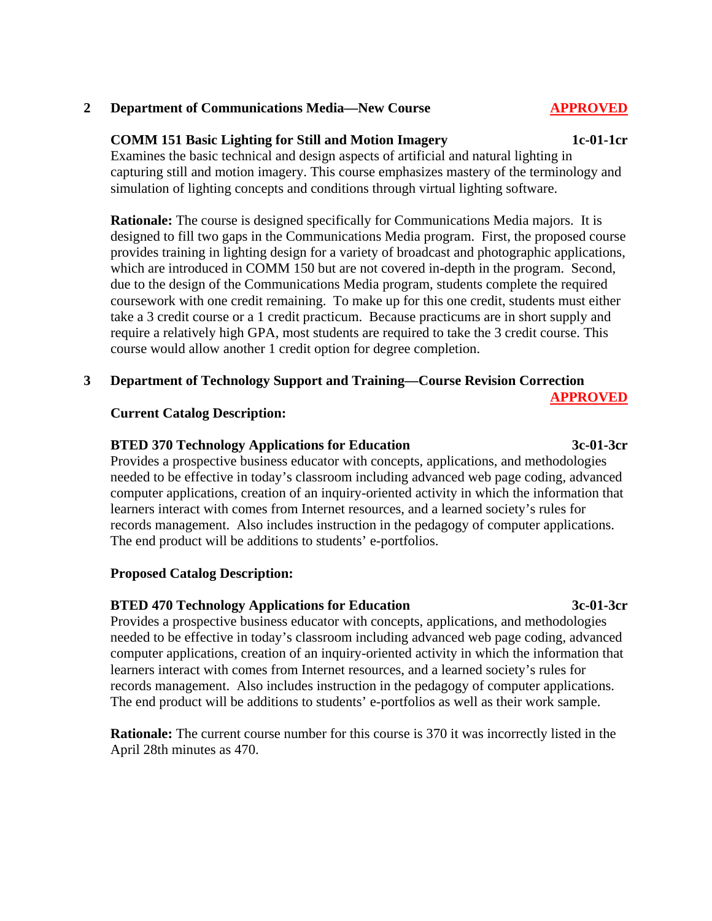## **2 Department of Communications Media—New Course APPROVED**

### **COMM 151 Basic Lighting for Still and Motion Imagery 1c-01-1cr**

 Examines the basic technical and design aspects of artificial and natural lighting in capturing still and motion imagery. This course emphasizes mastery of the terminology and simulation of lighting concepts and conditions through virtual lighting software.

**Rationale:** The course is designed specifically for Communications Media majors. It is designed to fill two gaps in the Communications Media program. First, the proposed course provides training in lighting design for a variety of broadcast and photographic applications, which are introduced in COMM 150 but are not covered in-depth in the program. Second, due to the design of the Communications Media program, students complete the required coursework with one credit remaining. To make up for this one credit, students must either take a 3 credit course or a 1 credit practicum. Because practicums are in short supply and require a relatively high GPA, most students are required to take the 3 credit course. This course would allow another 1 credit option for degree completion.

## **3 Department of Technology Support and Training—Course Revision Correction**

### **Current Catalog Description:**

#### **BTED 370 Technology Applications for Education 3c-01-3cr**

 Provides a prospective business educator with concepts, applications, and methodologies needed to be effective in today's classroom including advanced web page coding, advanced computer applications, creation of an inquiry-oriented activity in which the information that learners interact with comes from Internet resources, and a learned society's rules for records management. Also includes instruction in the pedagogy of computer applications. The end product will be additions to students' e-portfolios.

#### **Proposed Catalog Description:**

#### **BTED 470 Technology Applications for Education 3c-01-3cr**

 Provides a prospective business educator with concepts, applications, and methodologies needed to be effective in today's classroom including advanced web page coding, advanced computer applications, creation of an inquiry-oriented activity in which the information that learners interact with comes from Internet resources, and a learned society's rules for records management. Also includes instruction in the pedagogy of computer applications. The end product will be additions to students' e-portfolios as well as their work sample.

**Rationale:** The current course number for this course is 370 it was incorrectly listed in the April 28th minutes as 470.

**APPROVED**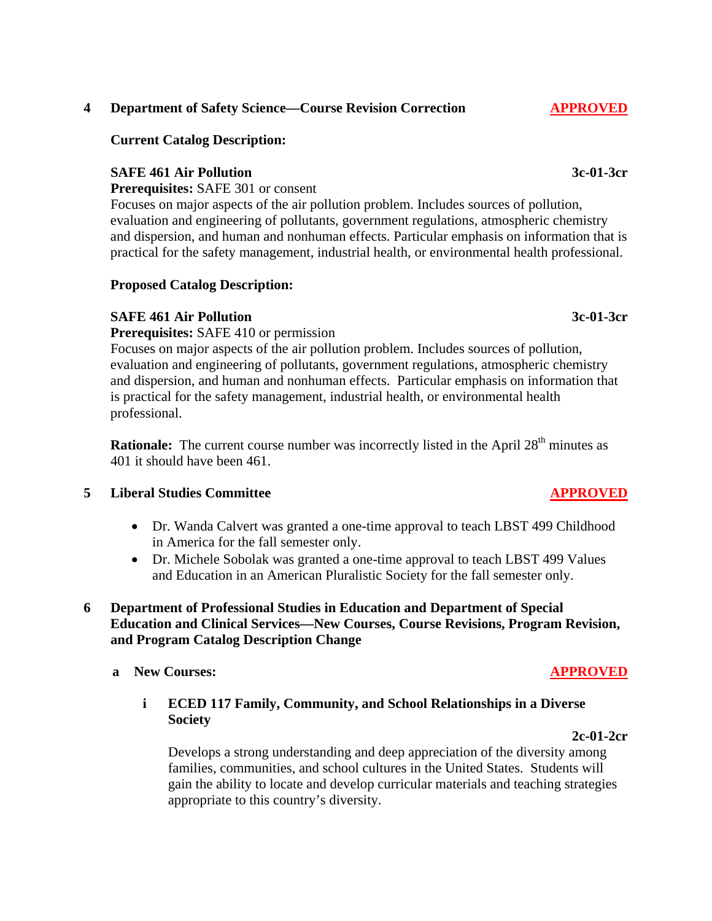## **4 Department of Safety Science—Course Revision Correction APPROVED**

# **Current Catalog Description:**

# **SAFE 461 Air Pollution 3c-01-3cr**

**Prerequisites:** SAFE 301 or consent

 Focuses on major aspects of the air pollution problem. Includes sources of pollution, evaluation and engineering of pollutants, government regulations, atmospheric chemistry and dispersion, and human and nonhuman effects. Particular emphasis on information that is practical for the safety management, industrial health, or environmental health professional.

# **Proposed Catalog Description:**

# **SAFE 461 Air Pollution 3c-01-3cr**

**Prerequisites:** SAFE 410 or permission

 Focuses on major aspects of the air pollution problem. Includes sources of pollution, evaluation and engineering of pollutants, government regulations, atmospheric chemistry and dispersion, and human and nonhuman effects. Particular emphasis on information that is practical for the safety management, industrial health, or environmental health professional.

**Rationale:** The current course number was incorrectly listed in the April 28<sup>th</sup> minutes as 401 it should have been 461.

## **5 Liberal Studies Committee APPROVED**

- Dr. Wanda Calvert was granted a one-time approval to teach LBST 499 Childhood in America for the fall semester only.
- Dr. Michele Sobolak was granted a one-time approval to teach LBST 499 Values and Education in an American Pluralistic Society for the fall semester only.

# **6 Department of Professional Studies in Education and Department of Special Education and Clinical Services—New Courses, Course Revisions, Program Revision, and Program Catalog Description Change**

## **a** New Courses: **APPROVED**

 **i ECED 117 Family, Community, and School Relationships in a Diverse Society**

**2c-01-2cr**

 Develops a strong understanding and deep appreciation of the diversity among families, communities, and school cultures in the United States. Students will gain the ability to locate and develop curricular materials and teaching strategies appropriate to this country's diversity.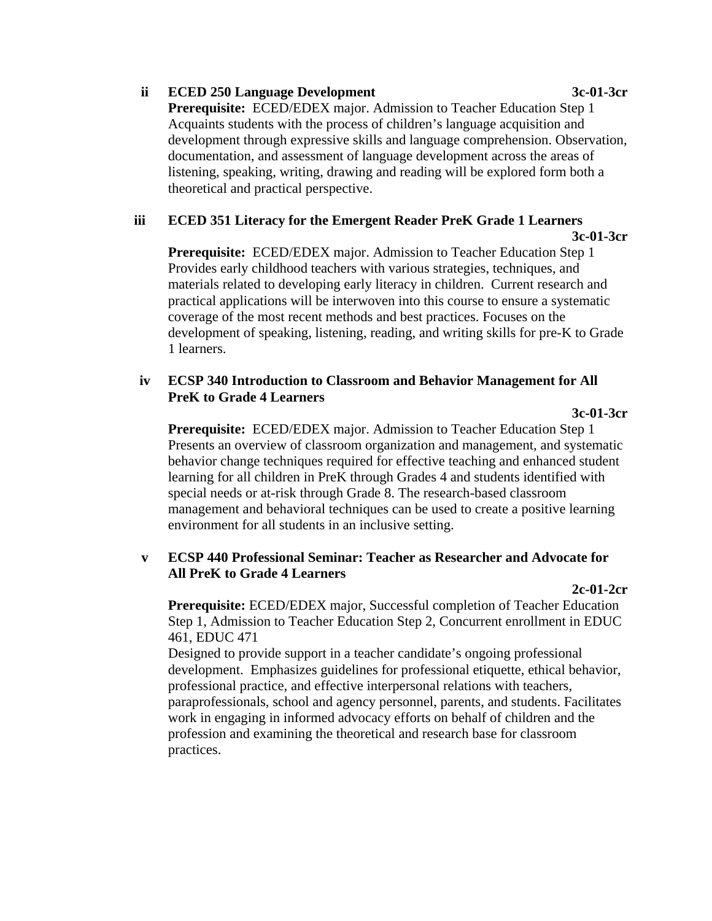# **ii ECED 250 Language Development 3c-01-3cr**

 **Prerequisite:** ECED/EDEX major. Admission to Teacher Education Step 1 Acquaints students with the process of children's language acquisition and development through expressive skills and language comprehension. Observation, documentation, and assessment of language development across the areas of listening, speaking, writing, drawing and reading will be explored form both a theoretical and practical perspective.

# **iii ECED 351 Literacy for the Emergent Reader PreK Grade 1 Learners**

**3c-01-3cr**

 **Prerequisite:** ECED/EDEX major. Admission to Teacher Education Step 1 Provides early childhood teachers with various strategies, techniques, and materials related to developing early literacy in children. Current research and practical applications will be interwoven into this course to ensure a systematic coverage of the most recent methods and best practices. Focuses on the development of speaking, listening, reading, and writing skills for pre-K to Grade 1 learners.

# **iv ECSP 340 Introduction to Classroom and Behavior Management for All PreK to Grade 4 Learners**

# **3c-01-3cr**

 **Prerequisite:** ECED/EDEX major. Admission to Teacher Education Step 1 Presents an overview of classroom organization and management, and systematic behavior change techniques required for effective teaching and enhanced student learning for all children in PreK through Grades 4 and students identified with special needs or at-risk through Grade 8. The research-based classroom management and behavioral techniques can be used to create a positive learning environment for all students in an inclusive setting.

# **v ECSP 440 Professional Seminar: Teacher as Researcher and Advocate for All PreK to Grade 4 Learners**

# **2c-01-2cr**

 **Prerequisite:** ECED/EDEX major, Successful completion of Teacher Education Step 1, Admission to Teacher Education Step 2, Concurrent enrollment in EDUC 461, EDUC 471

 Designed to provide support in a teacher candidate's ongoing professional development. Emphasizes guidelines for professional etiquette, ethical behavior, professional practice, and effective interpersonal relations with teachers, paraprofessionals, school and agency personnel, parents, and students. Facilitates work in engaging in informed advocacy efforts on behalf of children and the profession and examining the theoretical and research base for classroom practices.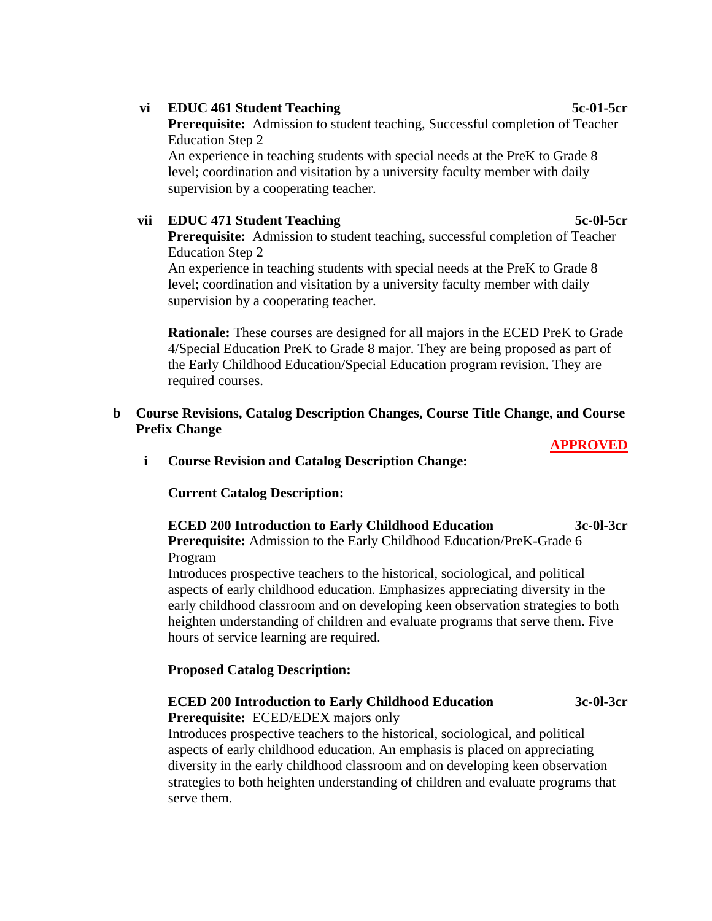## **vi EDUC 461 Student Teaching 5c-01-5cr**

 **Prerequisite:** Admission to student teaching, Successful completion of Teacher Education Step 2

 An experience in teaching students with special needs at the PreK to Grade 8 level; coordination and visitation by a university faculty member with daily supervision by a cooperating teacher.

# **vii EDUC 471 Student Teaching 5c-0l-5cr**

 **Prerequisite:** Admission to student teaching, successful completion of Teacher Education Step 2

 An experience in teaching students with special needs at the PreK to Grade 8 level; coordination and visitation by a university faculty member with daily supervision by a cooperating teacher.

 **Rationale:** These courses are designed for all majors in the ECED PreK to Grade 4/Special Education PreK to Grade 8 major. They are being proposed as part of the Early Childhood Education/Special Education program revision. They are required courses.

# **b Course Revisions, Catalog Description Changes, Course Title Change, and Course Prefix Change**

#### **APPROVED**

### **i Course Revision and Catalog Description Change:**

**Current Catalog Description:** 

# **ECED 200 Introduction to Early Childhood Education 3c-0l-3cr**

 **Prerequisite:** Admission to the Early Childhood Education/PreK-Grade 6 Program

 Introduces prospective teachers to the historical, sociological, and political aspects of early childhood education. Emphasizes appreciating diversity in the early childhood classroom and on developing keen observation strategies to both heighten understanding of children and evaluate programs that serve them. Five hours of service learning are required.

## **Proposed Catalog Description:**

# **ECED 200 Introduction to Early Childhood Education 3c-0l-3cr**

**Prerequisite:** ECED/EDEX majors only

 Introduces prospective teachers to the historical, sociological, and political aspects of early childhood education. An emphasis is placed on appreciating diversity in the early childhood classroom and on developing keen observation strategies to both heighten understanding of children and evaluate programs that serve them.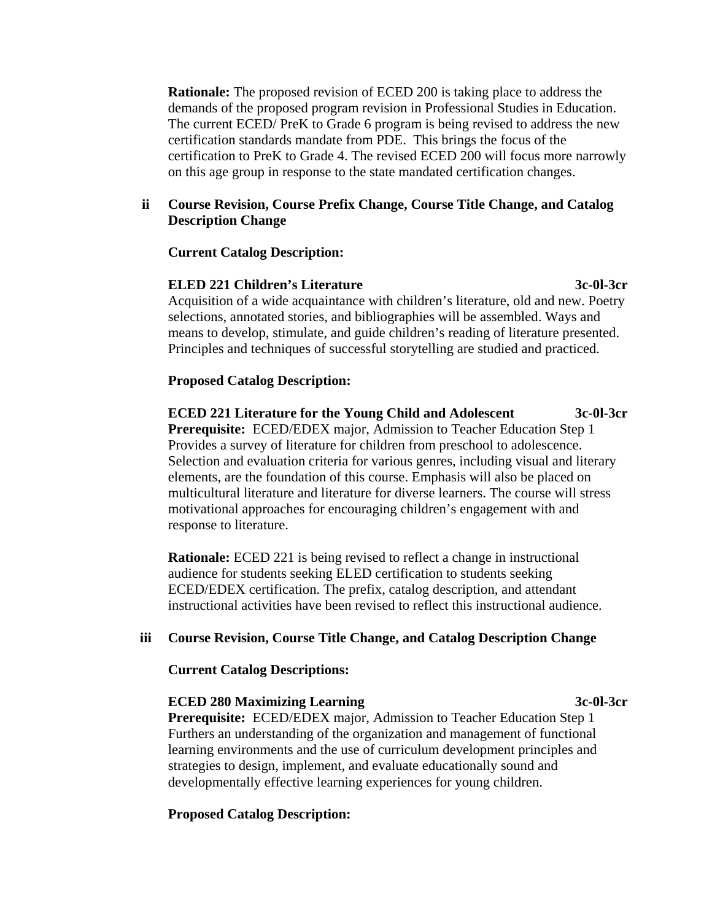**Rationale:** The proposed revision of ECED 200 is taking place to address the demands of the proposed program revision in Professional Studies in Education. The current ECED/ PreK to Grade 6 program is being revised to address the new certification standards mandate from PDE. This brings the focus of the certification to PreK to Grade 4. The revised ECED 200 will focus more narrowly on this age group in response to the state mandated certification changes.

# **ii Course Revision, Course Prefix Change, Course Title Change, and Catalog Description Change**

#### **Current Catalog Description:**

# **ELED 221 Children's Literature 3c-0l-3cr**

 Acquisition of a wide acquaintance with children's literature, old and new. Poetry selections, annotated stories, and bibliographies will be assembled. Ways and means to develop, stimulate, and guide children's reading of literature presented. Principles and techniques of successful storytelling are studied and practiced.

### **Proposed Catalog Description:**

 **ECED 221 Literature for the Young Child and Adolescent 3c-0l-3cr Prerequisite:** ECED/EDEX major, Admission to Teacher Education Step 1 Provides a survey of literature for children from preschool to adolescence. Selection and evaluation criteria for various genres, including visual and literary elements, are the foundation of this course. Emphasis will also be placed on multicultural literature and literature for diverse learners. The course will stress motivational approaches for encouraging children's engagement with and response to literature.

 **Rationale:** ECED 221 is being revised to reflect a change in instructional audience for students seeking ELED certification to students seeking ECED/EDEX certification. The prefix, catalog description, and attendant instructional activities have been revised to reflect this instructional audience.

#### **iii Course Revision, Course Title Change, and Catalog Description Change**

**Current Catalog Descriptions:** 

#### **ECED 280 Maximizing Learning 3c-0l-3cr**

 **Prerequisite:** ECED/EDEX major, Admission to Teacher Education Step 1 Furthers an understanding of the organization and management of functional learning environments and the use of curriculum development principles and strategies to design, implement, and evaluate educationally sound and developmentally effective learning experiences for young children.

### **Proposed Catalog Description:**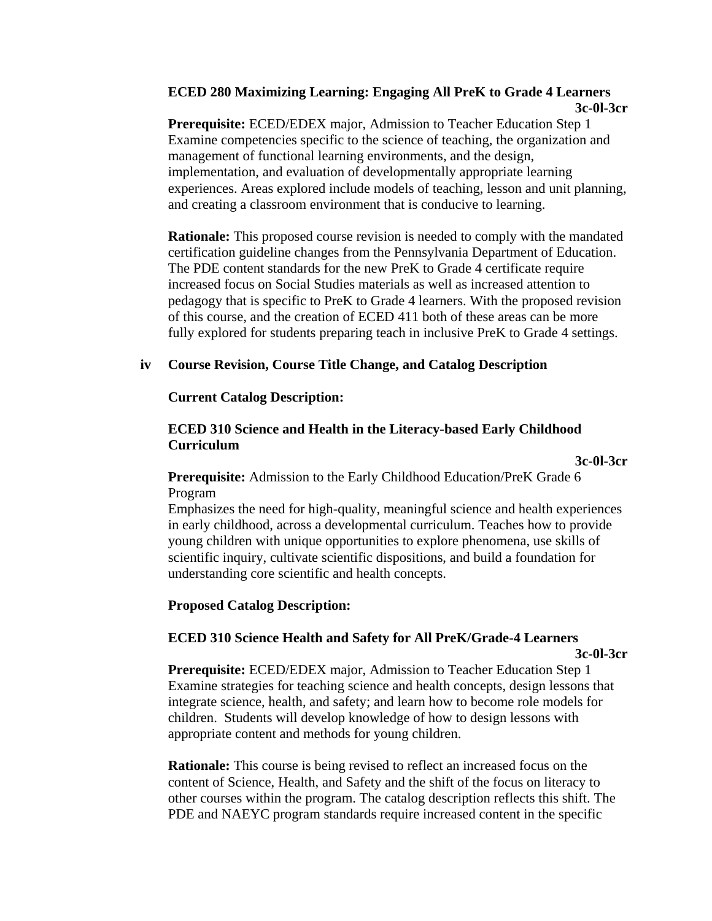# **ECED 280 Maximizing Learning: Engaging All PreK to Grade 4 Learners 3c-0l-3cr**

 **Prerequisite:** ECED/EDEX major, Admission to Teacher Education Step 1 Examine competencies specific to the science of teaching, the organization and management of functional learning environments, and the design, implementation, and evaluation of developmentally appropriate learning experiences. Areas explored include models of teaching, lesson and unit planning, and creating a classroom environment that is conducive to learning.

 **Rationale:** This proposed course revision is needed to comply with the mandated certification guideline changes from the Pennsylvania Department of Education. The PDE content standards for the new PreK to Grade 4 certificate require increased focus on Social Studies materials as well as increased attention to pedagogy that is specific to PreK to Grade 4 learners. With the proposed revision of this course, and the creation of ECED 411 both of these areas can be more fully explored for students preparing teach in inclusive PreK to Grade 4 settings.

# **iv Course Revision, Course Title Change, and Catalog Description**

**Current Catalog Description:** 

# **ECED 310 Science and Health in the Literacy-based Early Childhood Curriculum**

**3c-0l-3cr**

 **Prerequisite:** Admission to the Early Childhood Education/PreK Grade 6 Program

 Emphasizes the need for high-quality, meaningful science and health experiences in early childhood, across a developmental curriculum. Teaches how to provide young children with unique opportunities to explore phenomena, use skills of scientific inquiry, cultivate scientific dispositions, and build a foundation for understanding core scientific and health concepts.

# **Proposed Catalog Description:**

# **ECED 310 Science Health and Safety for All PreK/Grade-4 Learners**

#### **3c-0l-3cr**

 **Prerequisite:** ECED/EDEX major, Admission to Teacher Education Step 1 Examine strategies for teaching science and health concepts, design lessons that integrate science, health, and safety; and learn how to become role models for children. Students will develop knowledge of how to design lessons with appropriate content and methods for young children.

 **Rationale:** This course is being revised to reflect an increased focus on the content of Science, Health, and Safety and the shift of the focus on literacy to other courses within the program. The catalog description reflects this shift. The PDE and NAEYC program standards require increased content in the specific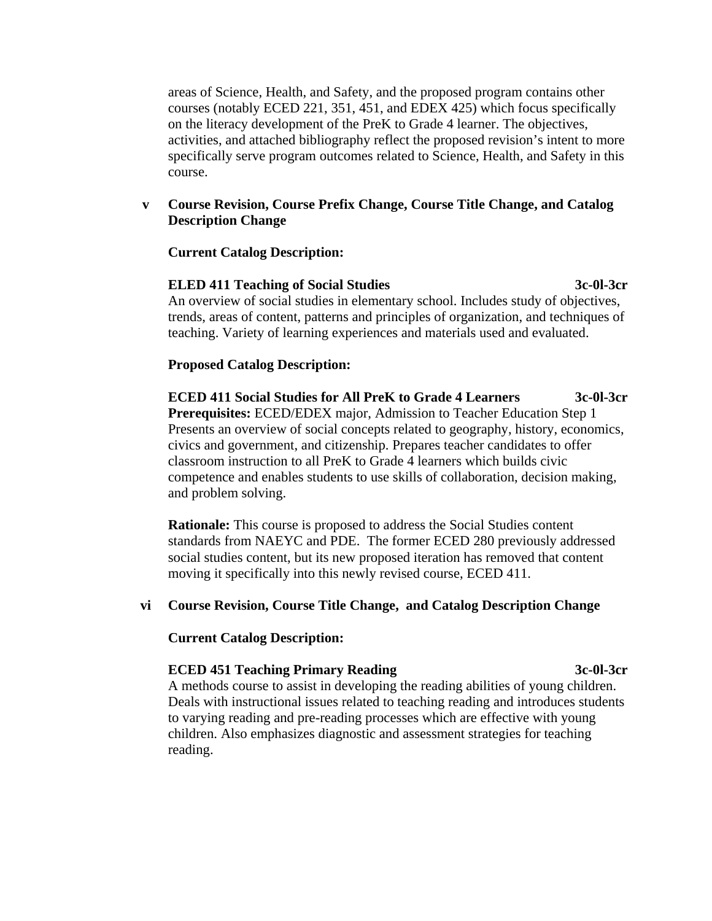areas of Science, Health, and Safety, and the proposed program contains other courses (notably ECED 221, 351, 451, and EDEX 425) which focus specifically on the literacy development of the PreK to Grade 4 learner. The objectives, activities, and attached bibliography reflect the proposed revision's intent to more specifically serve program outcomes related to Science, Health, and Safety in this course.

## **v Course Revision, Course Prefix Change, Course Title Change, and Catalog Description Change**

#### **Current Catalog Description:**

### **ELED 411 Teaching of Social Studies 3c-0l-3cr** An overview of social studies in elementary school. Includes study of objectives, trends, areas of content, patterns and principles of organization, and techniques of teaching. Variety of learning experiences and materials used and evaluated.

## **Proposed Catalog Description:**

 **ECED 411 Social Studies for All PreK to Grade 4 Learners 3c-0l-3cr Prerequisites:** ECED/EDEX major, Admission to Teacher Education Step 1 Presents an overview of social concepts related to geography, history, economics, civics and government, and citizenship. Prepares teacher candidates to offer classroom instruction to all PreK to Grade 4 learners which builds civic competence and enables students to use skills of collaboration, decision making, and problem solving.

 **Rationale:** This course is proposed to address the Social Studies content standards from NAEYC and PDE. The former ECED 280 previously addressed social studies content, but its new proposed iteration has removed that content moving it specifically into this newly revised course, ECED 411.

## **vi Course Revision, Course Title Change, and Catalog Description Change**

#### **Current Catalog Description:**

#### **ECED 451 Teaching Primary Reading 3c-0l-3cr**

 A methods course to assist in developing the reading abilities of young children. Deals with instructional issues related to teaching reading and introduces students to varying reading and pre-reading processes which are effective with young children. Also emphasizes diagnostic and assessment strategies for teaching reading.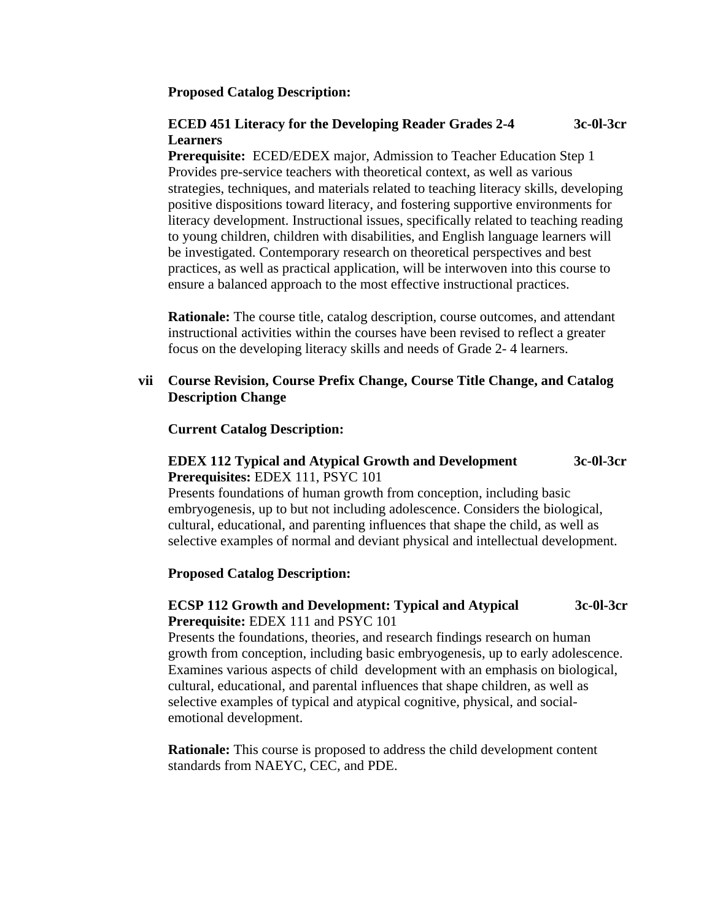#### **Proposed Catalog Description:**

#### **ECED 451 Literacy for the Developing Reader Grades 2-4 Learners 3c-0l-3cr**

 **Prerequisite:** ECED/EDEX major, Admission to Teacher Education Step 1 Provides pre-service teachers with theoretical context, as well as various strategies, techniques, and materials related to teaching literacy skills, developing positive dispositions toward literacy, and fostering supportive environments for literacy development. Instructional issues, specifically related to teaching reading to young children, children with disabilities, and English language learners will be investigated. Contemporary research on theoretical perspectives and best practices, as well as practical application, will be interwoven into this course to ensure a balanced approach to the most effective instructional practices.

 **Rationale:** The course title, catalog description, course outcomes, and attendant instructional activities within the courses have been revised to reflect a greater focus on the developing literacy skills and needs of Grade 2- 4 learners.

## **vii Course Revision, Course Prefix Change, Course Title Change, and Catalog Description Change**

**Current Catalog Description:** 

## **EDEX 112 Typical and Atypical Growth and Development 3c-0l-3cr Prerequisites:** EDEX 111, PSYC 101

 Presents foundations of human growth from conception, including basic embryogenesis, up to but not including adolescence. Considers the biological, cultural, educational, and parenting influences that shape the child, as well as selective examples of normal and deviant physical and intellectual development.

## **Proposed Catalog Description:**

# **ECSP 112 Growth and Development: Typical and Atypical 3c-0l-3cr Prerequisite:** EDEX 111 and PSYC 101

 Presents the foundations, theories, and research findings research on human growth from conception, including basic embryogenesis, up to early adolescence. Examines various aspects of child development with an emphasis on biological, cultural, educational, and parental influences that shape children, as well as selective examples of typical and atypical cognitive, physical, and socialemotional development.

 **Rationale:** This course is proposed to address the child development content standards from NAEYC, CEC, and PDE.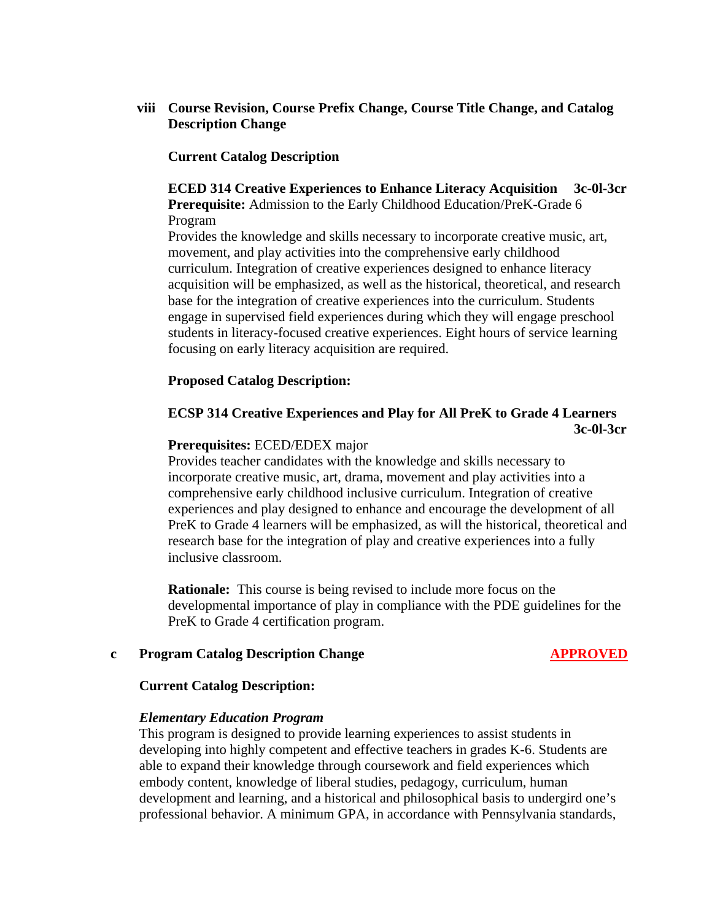# **viii Course Revision, Course Prefix Change, Course Title Change, and Catalog Description Change**

### **Current Catalog Description**

### **ECED 314 Creative Experiences to Enhance Literacy Acquisition 3c-0l-3cr Prerequisite:** Admission to the Early Childhood Education/PreK-Grade 6 Program

 Provides the knowledge and skills necessary to incorporate creative music, art, movement, and play activities into the comprehensive early childhood curriculum. Integration of creative experiences designed to enhance literacy acquisition will be emphasized, as well as the historical, theoretical, and research base for the integration of creative experiences into the curriculum. Students engage in supervised field experiences during which they will engage preschool students in literacy-focused creative experiences. Eight hours of service learning focusing on early literacy acquisition are required.

### **Proposed Catalog Description:**

# **ECSP 314 Creative Experiences and Play for All PreK to Grade 4 Learners 3c-0l-3cr**

#### **Prerequisites:** ECED/EDEX major

 Provides teacher candidates with the knowledge and skills necessary to incorporate creative music, art, drama, movement and play activities into a comprehensive early childhood inclusive curriculum. Integration of creative experiences and play designed to enhance and encourage the development of all PreK to Grade 4 learners will be emphasized, as will the historical, theoretical and research base for the integration of play and creative experiences into a fully inclusive classroom.

 **Rationale:** This course is being revised to include more focus on the developmental importance of play in compliance with the PDE guidelines for the PreK to Grade 4 certification program.

#### **c** Program Catalog Description Change **APPROVED**

#### **Current Catalog Description:**

#### *Elementary Education Program*

This program is designed to provide learning experiences to assist students in developing into highly competent and effective teachers in grades K-6. Students are able to expand their knowledge through coursework and field experiences which embody content, knowledge of liberal studies, pedagogy, curriculum, human development and learning, and a historical and philosophical basis to undergird one's professional behavior. A minimum GPA, in accordance with Pennsylvania standards,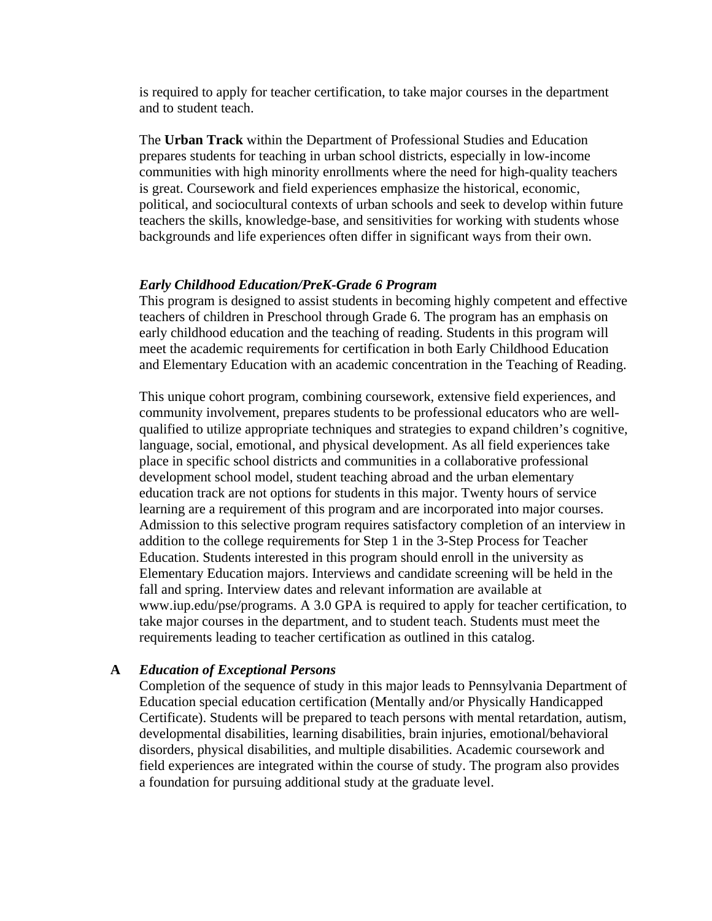is required to apply for teacher certification, to take major courses in the department and to student teach.

The **Urban Track** within the Department of Professional Studies and Education prepares students for teaching in urban school districts, especially in low-income communities with high minority enrollments where the need for high-quality teachers is great. Coursework and field experiences emphasize the historical, economic, political, and sociocultural contexts of urban schools and seek to develop within future teachers the skills, knowledge-base, and sensitivities for working with students whose backgrounds and life experiences often differ in significant ways from their own.

#### *Early Childhood Education/PreK-Grade 6 Program*

This program is designed to assist students in becoming highly competent and effective teachers of children in Preschool through Grade 6. The program has an emphasis on early childhood education and the teaching of reading. Students in this program will meet the academic requirements for certification in both Early Childhood Education and Elementary Education with an academic concentration in the Teaching of Reading.

This unique cohort program, combining coursework, extensive field experiences, and community involvement, prepares students to be professional educators who are wellqualified to utilize appropriate techniques and strategies to expand children's cognitive, language, social, emotional, and physical development. As all field experiences take place in specific school districts and communities in a collaborative professional development school model, student teaching abroad and the urban elementary education track are not options for students in this major. Twenty hours of service learning are a requirement of this program and are incorporated into major courses. Admission to this selective program requires satisfactory completion of an interview in addition to the college requirements for Step 1 in the 3-Step Process for Teacher Education. Students interested in this program should enroll in the university as Elementary Education majors. Interviews and candidate screening will be held in the fall and spring. Interview dates and relevant information are available at www.iup.edu/pse/programs. A 3.0 GPA is required to apply for teacher certification, to take major courses in the department, and to student teach. Students must meet the requirements leading to teacher certification as outlined in this catalog.

#### **A** *Education of Exceptional Persons*

Completion of the sequence of study in this major leads to Pennsylvania Department of Education special education certification (Mentally and/or Physically Handicapped Certificate). Students will be prepared to teach persons with mental retardation, autism, developmental disabilities, learning disabilities, brain injuries, emotional/behavioral disorders, physical disabilities, and multiple disabilities. Academic coursework and field experiences are integrated within the course of study. The program also provides a foundation for pursuing additional study at the graduate level.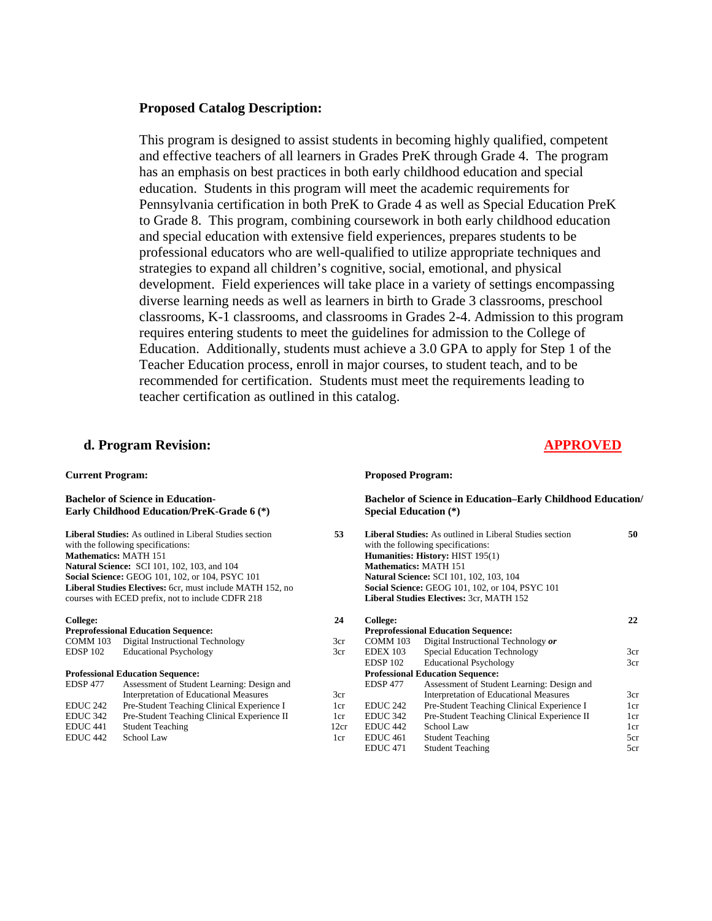#### **Proposed Catalog Description:**

This program is designed to assist students in becoming highly qualified, competent and effective teachers of all learners in Grades PreK through Grade 4. The program has an emphasis on best practices in both early childhood education and special education. Students in this program will meet the academic requirements for Pennsylvania certification in both PreK to Grade 4 as well as Special Education PreK to Grade 8. This program, combining coursework in both early childhood education and special education with extensive field experiences, prepares students to be professional educators who are well-qualified to utilize appropriate techniques and strategies to expand all children's cognitive, social, emotional, and physical development. Field experiences will take place in a variety of settings encompassing diverse learning needs as well as learners in birth to Grade 3 classrooms, preschool classrooms, K-1 classrooms, and classrooms in Grades 2-4. Admission to this program requires entering students to meet the guidelines for admission to the College of Education. Additionally, students must achieve a 3.0 GPA to apply for Step 1 of the Teacher Education process, enroll in major courses, to student teach, and to be recommended for certification. Students must meet the requirements leading to teacher certification as outlined in this catalog.

#### **d. Program Revision: APPROVED**

#### **Current Program:**

**Bachelor of Science in Education-Early Childhood Education/PreK-Grade 6 (\*)** 

**Liberal Studies:** As outlined in Liberal Studies section with the following specifications: **Mathematics:** MATH 151 **Natural Science:** SCI 101, 102, 103, and 104 **Social Science:** GEOG 101, 102, or 104, PSYC 101 **Liberal Studies Electives:** 6cr, must include MATH 152, no courses with ECED prefix, not to include CDFR 218

#### **College:**

#### **Preprofessional Education Sequence:**  COMM 103 Digital Instructional Technology EDSP 102 Educational Psychology

#### **Professional Education Sequence:**

| <b>EDSP 477</b>     | Assessment of Student Learning: Design and  |
|---------------------|---------------------------------------------|
|                     | Interpretation of Educational Measures      |
| EDUC <sub>242</sub> | Pre-Student Teaching Clinical Experience I  |
| EDUC <sub>342</sub> | Pre-Student Teaching Clinical Experience II |
| EDUC 441            | <b>Student Teaching</b>                     |
| EDUC <sub>442</sub> | School Law                                  |
|                     |                                             |

#### **Proposed Program:**

**Bachelor of Science in Education–Early Childhood Education/ Special Education (\*) 53 Liberal Studies:** As outlined in Liberal Studies section **50** 

| College:            |                                               | 22                                                                                                                                                                                                                                                                                                                                                             |
|---------------------|-----------------------------------------------|----------------------------------------------------------------------------------------------------------------------------------------------------------------------------------------------------------------------------------------------------------------------------------------------------------------------------------------------------------------|
|                     |                                               |                                                                                                                                                                                                                                                                                                                                                                |
| <b>COMM 103</b>     | Digital Instructional Technology or           |                                                                                                                                                                                                                                                                                                                                                                |
| <b>EDEX 103</b>     | <b>Special Education Technology</b>           | 3cr                                                                                                                                                                                                                                                                                                                                                            |
| <b>EDSP 102</b>     | <b>Educational Psychology</b>                 | 3cr                                                                                                                                                                                                                                                                                                                                                            |
|                     |                                               |                                                                                                                                                                                                                                                                                                                                                                |
| <b>EDSP 477</b>     | Assessment of Student Learning: Design and    |                                                                                                                                                                                                                                                                                                                                                                |
|                     | <b>Interpretation of Educational Measures</b> | 3cr                                                                                                                                                                                                                                                                                                                                                            |
| EDUC <sub>242</sub> | Pre-Student Teaching Clinical Experience I    | 1cr                                                                                                                                                                                                                                                                                                                                                            |
| EDUC <sub>342</sub> | Pre-Student Teaching Clinical Experience II   | 1cr                                                                                                                                                                                                                                                                                                                                                            |
| EDUC 442            | School Law                                    | 1cr                                                                                                                                                                                                                                                                                                                                                            |
| EDUC <sub>461</sub> | <b>Student Teaching</b>                       | 5cr                                                                                                                                                                                                                                                                                                                                                            |
| EDUC <sub>471</sub> | <b>Student Teaching</b>                       | 5cr                                                                                                                                                                                                                                                                                                                                                            |
|                     |                                               | with the following specifications:<br><b>Humanities: History: HIST 195(1)</b><br><b>Mathematics: MATH 151</b><br><b>Natural Science: SCI 101, 102, 103, 104</b><br>Social Science: GEOG 101, 102, or 104, PSYC 101<br><b>Liberal Studies Electives: 3cr, MATH 152</b><br><b>Preprofessional Education Sequence:</b><br><b>Professional Education Sequence:</b> |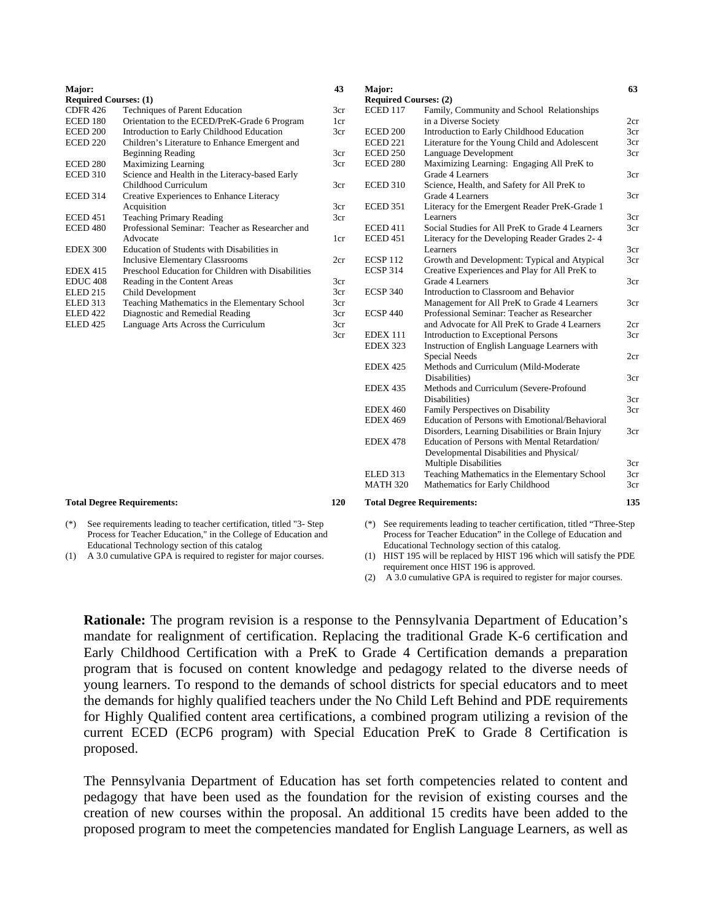| Major:                       |                                                    |  |
|------------------------------|----------------------------------------------------|--|
| <b>Required Courses: (1)</b> |                                                    |  |
| <b>CDFR 426</b>              | <b>Techniques of Parent Education</b>              |  |
| ECED 180                     | Orientation to the ECED/PreK-Grade 6 Program       |  |
| ECED 200                     | Introduction to Early Childhood Education          |  |
| ECED 220                     | Children's Literature to Enhance Emergent and      |  |
|                              | <b>Beginning Reading</b>                           |  |
| <b>ECED 280</b>              | <b>Maximizing Learning</b>                         |  |
| <b>ECED 310</b>              | Science and Health in the Literacy-based Early     |  |
|                              | Childhood Curriculum                               |  |
| <b>ECED 314</b>              | Creative Experiences to Enhance Literacy           |  |
|                              | Acquisition                                        |  |
| <b>ECED 451</b>              | <b>Teaching Primary Reading</b>                    |  |
| <b>ECED 480</b>              | Professional Seminar: Teacher as Researcher and    |  |
|                              | Advocate                                           |  |
| <b>EDEX 300</b>              | Education of Students with Disabilities in         |  |
|                              | <b>Inclusive Elementary Classrooms</b>             |  |
| <b>EDEX 415</b>              | Preschool Education for Children with Disabilities |  |
| EDUC <sub>408</sub>          | Reading in the Content Areas                       |  |
| ELED 215                     | Child Development                                  |  |
| ELED 313                     | Teaching Mathematics in the Elementary School      |  |
| <b>ELED</b> 422              | Diagnostic and Remedial Reading                    |  |
| ELED 425                     | Language Arts Across the Curriculum                |  |
|                              |                                                    |  |
|                              |                                                    |  |

#### **Total Degree Requirements: 120**

(\*) See requirements leading to teacher certification, titled "3- Step Process for Teacher Education," in the College of Education and Educational Technology section of this catalog

(1) A 3.0 cumulative GPA is required to register for major courses.

**Required Courses: (2)**<br>ECED 117 Family, Family, Community and School Relationships in a Diverse Society ECED 200 Introduction to Early Childhood Education ECED 221 Literature for the Young Child and Adolescent ECED 250 Language Development<br>ECED 280 Maximizing Learning: Maximizing Learning: Engaging All PreK to Grade 4 Learners ECED 310 Science, Health, and Safety for All PreK to Grade 4 Learners ECED 351 Literacy for the Emergent Reader PreK-Grade 1 Learners ECED 411 Social Studies for All PreK to Grade 4 Learners ECED 451 Literacy for the Developing Reader Grades 2- 4 Learners ECSP 112 Growth and Development: Typical and Atypical ECSP 314 Creative Experiences and Play for All PreK to Grade 4 Learners ECSP 340 Introduction to Classroom and Behavior Management for All PreK to Grade 4 Learners ECSP 440 Professional Seminar: Teacher as Researcher and Advocate for All PreK to Grade 4 Learners EDEX 111 Introduction to Exceptional Persons EDEX 323 Instruction of English Language Learners with Special Needs EDEX 425 Methods and Curriculum (Mild-Moderate Disabilities) EDEX 435 Methods and Curriculum (Severe-Profound Disabilities) EDEX 460 Family Perspectives on Disability EDEX 469 Education of Persons with Emotional/Behavioral Disorders, Learning Disabilities or Brain Injury EDEX 478 Education of Persons with Mental Retardation/ Developmental Disabilities and Physical/ Multiple Disabilities ELED 313 Teaching Mathematics in the Elementary School<br>MATH 320 Mathematics for Early Childhood Mathematics for Early Childhood  $2cr$ 3cr 3cr 3cr 3cr 3cr 3cr 3cr 3cr 3cr 3cr 3cr  $2cr$ 3cr 2cr 3cr 3cr 3cr 3cr 3cr 3cr 3cr **Total Degree Requirements: 135** 

(\*) See requirements leading to teacher certification, titled "Three-Step Process for Teacher Education" in the College of Education and Educational Technology section of this catalog.

(1) HIST 195 will be replaced by HIST 196 which will satisfy the PDE requirement once HIST 196 is approved.

(2) A 3.0 cumulative GPA is required to register for major courses.

**Rationale:** The program revision is a response to the Pennsylvania Department of Education's mandate for realignment of certification. Replacing the traditional Grade K-6 certification and Early Childhood Certification with a PreK to Grade 4 Certification demands a preparation program that is focused on content knowledge and pedagogy related to the diverse needs of young learners. To respond to the demands of school districts for special educators and to meet the demands for highly qualified teachers under the No Child Left Behind and PDE requirements for Highly Qualified content area certifications, a combined program utilizing a revision of the current ECED (ECP6 program) with Special Education PreK to Grade 8 Certification is proposed.

**43**  3cr 1cr 3cr 3cr 3cr 3cr 3cr 3cr 1cr 2cr 3cr 3cr 3cr 3cr 3cr 3cr **Major:** 

The Pennsylvania Department of Education has set forth competencies related to content and pedagogy that have been used as the foundation for the revision of existing courses and the creation of new courses within the proposal. An additional 15 credits have been added to the proposed program to meet the competencies mandated for English Language Learners, as well as

**63**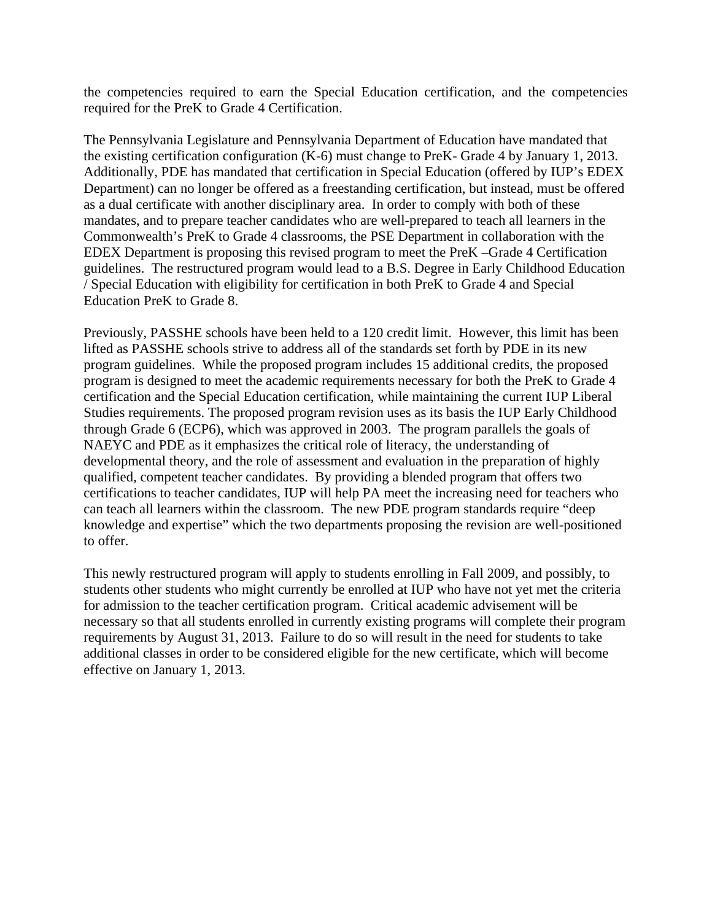the competencies required to earn the Special Education certification, and the competencies required for the PreK to Grade 4 Certification.

The Pennsylvania Legislature and Pennsylvania Department of Education have mandated that the existing certification configuration (K-6) must change to PreK- Grade 4 by January 1, 2013. Additionally, PDE has mandated that certification in Special Education (offered by IUP's EDEX Department) can no longer be offered as a freestanding certification, but instead, must be offered as a dual certificate with another disciplinary area. In order to comply with both of these mandates, and to prepare teacher candidates who are well-prepared to teach all learners in the Commonwealth's PreK to Grade 4 classrooms, the PSE Department in collaboration with the EDEX Department is proposing this revised program to meet the PreK –Grade 4 Certification guidelines. The restructured program would lead to a B.S. Degree in Early Childhood Education / Special Education with eligibility for certification in both PreK to Grade 4 and Special Education PreK to Grade 8.

Previously, PASSHE schools have been held to a 120 credit limit. However, this limit has been lifted as PASSHE schools strive to address all of the standards set forth by PDE in its new program guidelines. While the proposed program includes 15 additional credits, the proposed program is designed to meet the academic requirements necessary for both the PreK to Grade 4 certification and the Special Education certification, while maintaining the current IUP Liberal Studies requirements. The proposed program revision uses as its basis the IUP Early Childhood through Grade 6 (ECP6), which was approved in 2003. The program parallels the goals of NAEYC and PDE as it emphasizes the critical role of literacy, the understanding of developmental theory, and the role of assessment and evaluation in the preparation of highly qualified, competent teacher candidates. By providing a blended program that offers two certifications to teacher candidates, IUP will help PA meet the increasing need for teachers who can teach all learners within the classroom. The new PDE program standards require "deep knowledge and expertise" which the two departments proposing the revision are well-positioned to offer.

This newly restructured program will apply to students enrolling in Fall 2009, and possibly, to students other students who might currently be enrolled at IUP who have not yet met the criteria for admission to the teacher certification program. Critical academic advisement will be necessary so that all students enrolled in currently existing programs will complete their program requirements by August 31, 2013. Failure to do so will result in the need for students to take additional classes in order to be considered eligible for the new certificate, which will become effective on January 1, 2013.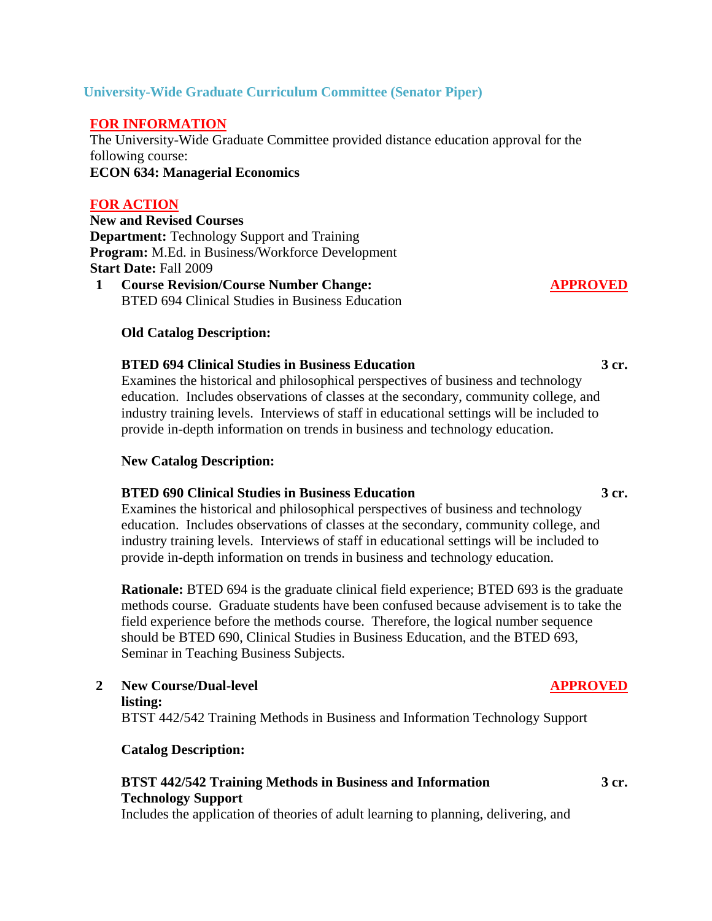# **University-Wide Graduate Curriculum Committee (Senator Piper)**

# **FOR INFORMATION**

The University-Wide Graduate Committee provided distance education approval for the following course: **ECON 634: Managerial Economics** 

# **FOR ACTION**

**New and Revised Courses Department:** Technology Support and Training **Program:** M.Ed. in Business/Workforce Development **Start Date:** Fall 2009

**1 Course Revision/Course Number Change:**  BTED 694 Clinical Studies in Business Education

### **Old Catalog Description:**

#### **BTED 694 Clinical Studies in Business Education 3 cr.**

 Examines the historical and philosophical perspectives of business and technology education. Includes observations of classes at the secondary, community college, and industry training levels. Interviews of staff in educational settings will be included to provide in-depth information on trends in business and technology education.

#### **New Catalog Description:**

### **BTED 690 Clinical Studies in Business Education 3 cr.**

 Examines the historical and philosophical perspectives of business and technology education. Includes observations of classes at the secondary, community college, and industry training levels. Interviews of staff in educational settings will be included to provide in-depth information on trends in business and technology education.

**Rationale:** BTED 694 is the graduate clinical field experience; BTED 693 is the graduate methods course. Graduate students have been confused because advisement is to take the field experience before the methods course. Therefore, the logical number sequence should be BTED 690, Clinical Studies in Business Education, and the BTED 693, Seminar in Teaching Business Subjects.

**2 New Course/Dual-level listing:** BTST 442/542 Training Methods in Business and Information Technology Support

#### **Catalog Description:**

#### **BTST 442/542 Training Methods in Business and Information Technology Support**

Includes the application of theories of adult learning to planning, delivering, and

**APPROVED**

## **APPROVED**

**3 cr.**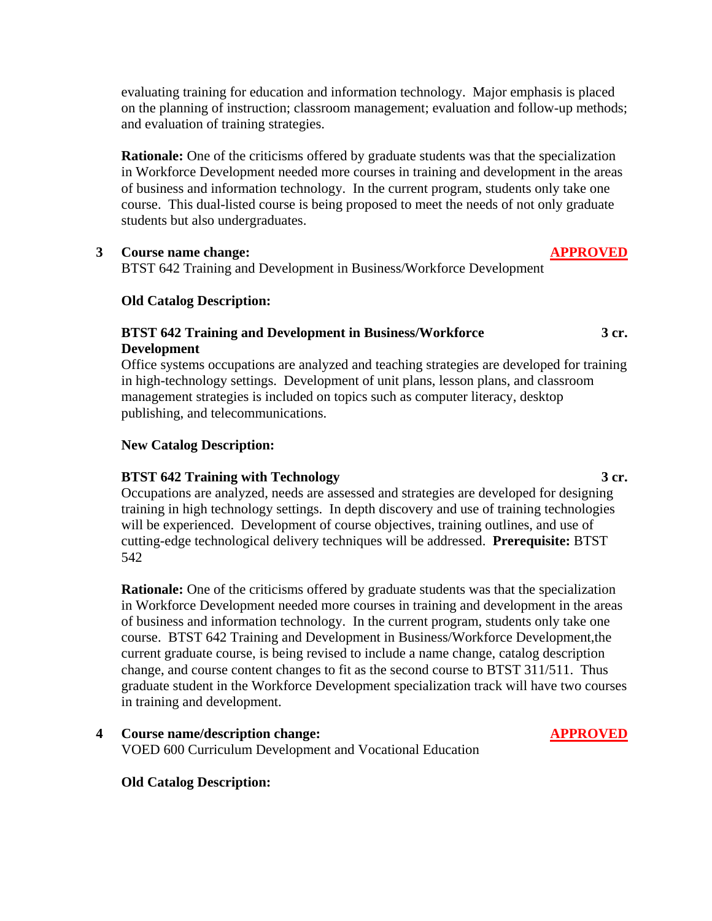evaluating training for education and information technology. Major emphasis is placed on the planning of instruction; classroom management; evaluation and follow-up methods; and evaluation of training strategies.

**Rationale:** One of the criticisms offered by graduate students was that the specialization in Workforce Development needed more courses in training and development in the areas of business and information technology. In the current program, students only take one course. This dual-listed course is being proposed to meet the needs of not only graduate students but also undergraduates.

## **3 Course name change: APPROVED**

BTST 642 Training and Development in Business/Workforce Development

# **Old Catalog Description:**

# **BTST 642 Training and Development in Business/Workforce Development**

 Office systems occupations are analyzed and teaching strategies are developed for training in high-technology settings. Development of unit plans, lesson plans, and classroom management strategies is included on topics such as computer literacy, desktop publishing, and telecommunications.

# **New Catalog Description:**

## **BTST 642 Training with Technology 3 cr.**

 Occupations are analyzed, needs are assessed and strategies are developed for designing training in high technology settings. In depth discovery and use of training technologies will be experienced. Development of course objectives, training outlines, and use of cutting-edge technological delivery techniques will be addressed. **Prerequisite:** BTST 542

**Rationale:** One of the criticisms offered by graduate students was that the specialization in Workforce Development needed more courses in training and development in the areas of business and information technology. In the current program, students only take one course. BTST 642 Training and Development in Business/Workforce Development,the current graduate course, is being revised to include a name change, catalog description change, and course content changes to fit as the second course to BTST 311/511. Thus graduate student in the Workforce Development specialization track will have two courses in training and development.

**4 Course name/description change: APPROVED** VOED 600 Curriculum Development and Vocational Education

**Old Catalog Description:** 

**3 cr.**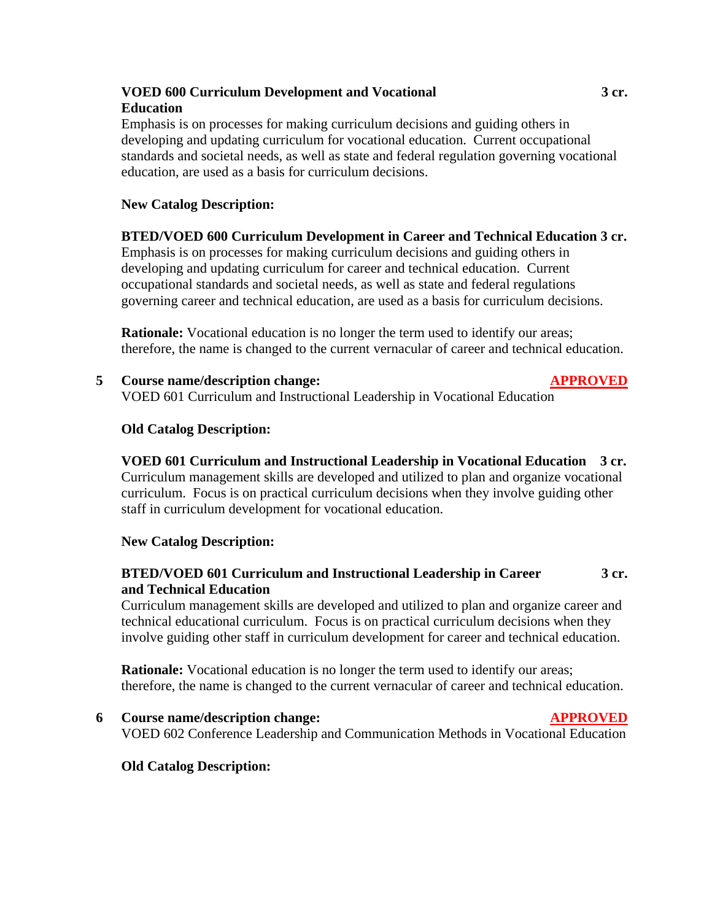# **VOED 600 Curriculum Development and Vocational Education**

 Emphasis is on processes for making curriculum decisions and guiding others in developing and updating curriculum for vocational education. Current occupational standards and societal needs, as well as state and federal regulation governing vocational education, are used as a basis for curriculum decisions.

# **New Catalog Description:**

# **BTED/VOED 600 Curriculum Development in Career and Technical Education 3 cr.**

 Emphasis is on processes for making curriculum decisions and guiding others in developing and updating curriculum for career and technical education. Current occupational standards and societal needs, as well as state and federal regulations governing career and technical education, are used as a basis for curriculum decisions.

**Rationale:** Vocational education is no longer the term used to identify our areas; therefore, the name is changed to the current vernacular of career and technical education.

**5 Course name/description change: APPROVED** VOED 601 Curriculum and Instructional Leadership in Vocational Education

# **Old Catalog Description:**

# **VOED 601 Curriculum and Instructional Leadership in Vocational Education 3 cr.**

 Curriculum management skills are developed and utilized to plan and organize vocational curriculum. Focus is on practical curriculum decisions when they involve guiding other staff in curriculum development for vocational education.

# **New Catalog Description:**

#### **BTED/VOED 601 Curriculum and Instructional Leadership in Career and Technical Education 3 cr.**

 Curriculum management skills are developed and utilized to plan and organize career and technical educational curriculum. Focus is on practical curriculum decisions when they involve guiding other staff in curriculum development for career and technical education.

**Rationale:** Vocational education is no longer the term used to identify our areas; therefore, the name is changed to the current vernacular of career and technical education.

**6 Course name/description change: APPROVED** VOED 602 Conference Leadership and Communication Methods in Vocational Education

# **Old Catalog Description:**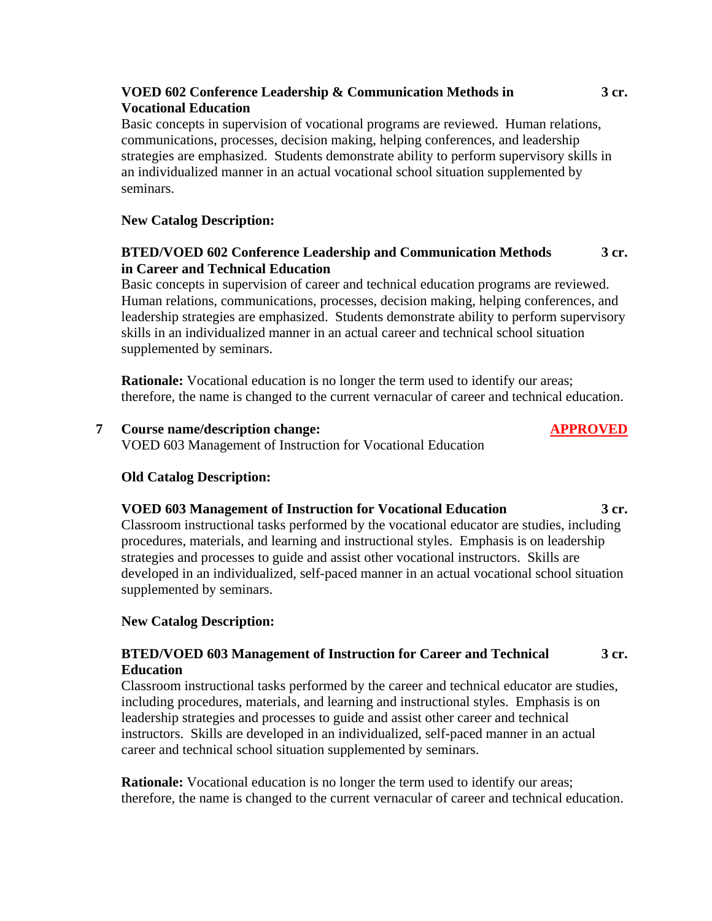# **VOED 602 Conference Leadership & Communication Methods in Vocational Education**

 Basic concepts in supervision of vocational programs are reviewed. Human relations, communications, processes, decision making, helping conferences, and leadership strategies are emphasized. Students demonstrate ability to perform supervisory skills in an individualized manner in an actual vocational school situation supplemented by seminars.

# **New Catalog Description:**

#### **BTED/VOED 602 Conference Leadership and Communication Methods in Career and Technical Education 3 cr.**

 Basic concepts in supervision of career and technical education programs are reviewed. Human relations, communications, processes, decision making, helping conferences, and leadership strategies are emphasized. Students demonstrate ability to perform supervisory skills in an individualized manner in an actual career and technical school situation supplemented by seminars.

**Rationale:** Vocational education is no longer the term used to identify our areas; therefore, the name is changed to the current vernacular of career and technical education.

# **7 Course name/description change: APPROVED**

VOED 603 Management of Instruction for Vocational Education

## **Old Catalog Description:**

#### **VOED 603 Management of Instruction for Vocational Education 3 cr.**

 Classroom instructional tasks performed by the vocational educator are studies, including procedures, materials, and learning and instructional styles. Emphasis is on leadership strategies and processes to guide and assist other vocational instructors. Skills are developed in an individualized, self-paced manner in an actual vocational school situation supplemented by seminars.

## **New Catalog Description:**

#### **BTED/VOED 603 Management of Instruction for Career and Technical Education 3 cr.**

 Classroom instructional tasks performed by the career and technical educator are studies, including procedures, materials, and learning and instructional styles. Emphasis is on leadership strategies and processes to guide and assist other career and technical instructors. Skills are developed in an individualized, self-paced manner in an actual career and technical school situation supplemented by seminars.

**Rationale:** Vocational education is no longer the term used to identify our areas; therefore, the name is changed to the current vernacular of career and technical education.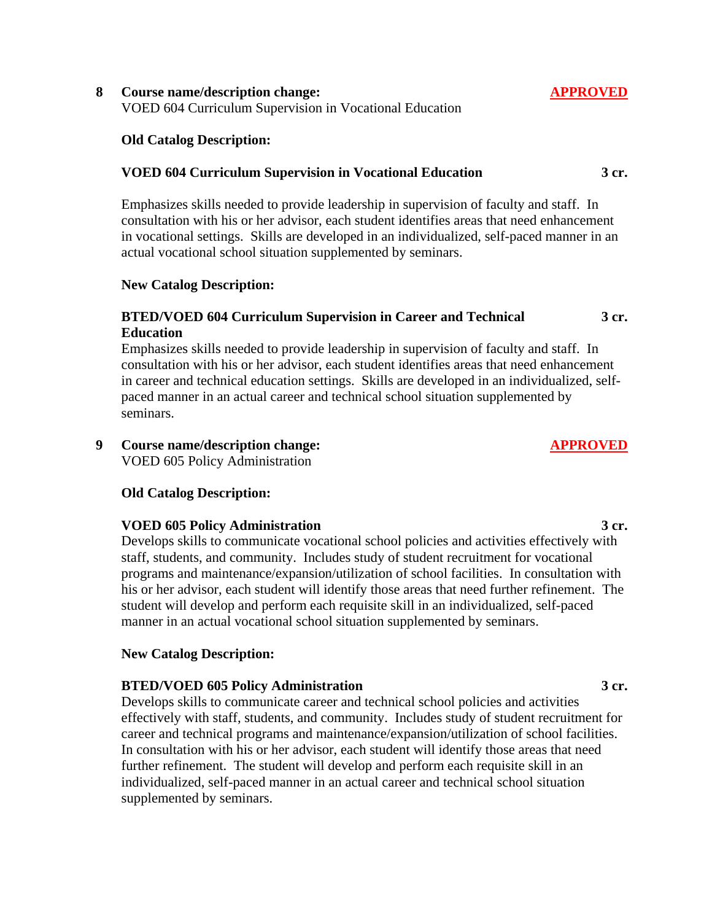# **8 Course name/description change: APPROVED**

VOED 604 Curriculum Supervision in Vocational Education

# **Old Catalog Description:**

# **VOED 604 Curriculum Supervision in Vocational Education**

 Emphasizes skills needed to provide leadership in supervision of faculty and staff. In consultation with his or her advisor, each student identifies areas that need enhancement in vocational settings. Skills are developed in an individualized, self-paced manner in an actual vocational school situation supplemented by seminars.

# **New Catalog Description:**

#### **BTED/VOED 604 Curriculum Supervision in Career and Technical Education 3 cr.**

 Emphasizes skills needed to provide leadership in supervision of faculty and staff. In consultation with his or her advisor, each student identifies areas that need enhancement in career and technical education settings. Skills are developed in an individualized, selfpaced manner in an actual career and technical school situation supplemented by seminars.

# **9 Course name/description change: APPROVED**

VOED 605 Policy Administration

# **Old Catalog Description:**

# **VOED 605 Policy Administration** 3 cr.

 Develops skills to communicate vocational school policies and activities effectively with staff, students, and community. Includes study of student recruitment for vocational programs and maintenance/expansion/utilization of school facilities. In consultation with his or her advisor, each student will identify those areas that need further refinement. The student will develop and perform each requisite skill in an individualized, self-paced manner in an actual vocational school situation supplemented by seminars.

# **New Catalog Description:**

# **BTED/VOED 605 Policy Administration 3 cr.**

 Develops skills to communicate career and technical school policies and activities effectively with staff, students, and community. Includes study of student recruitment for career and technical programs and maintenance/expansion/utilization of school facilities. In consultation with his or her advisor, each student will identify those areas that need further refinement. The student will develop and perform each requisite skill in an individualized, self-paced manner in an actual career and technical school situation supplemented by seminars.

# **3 cr.**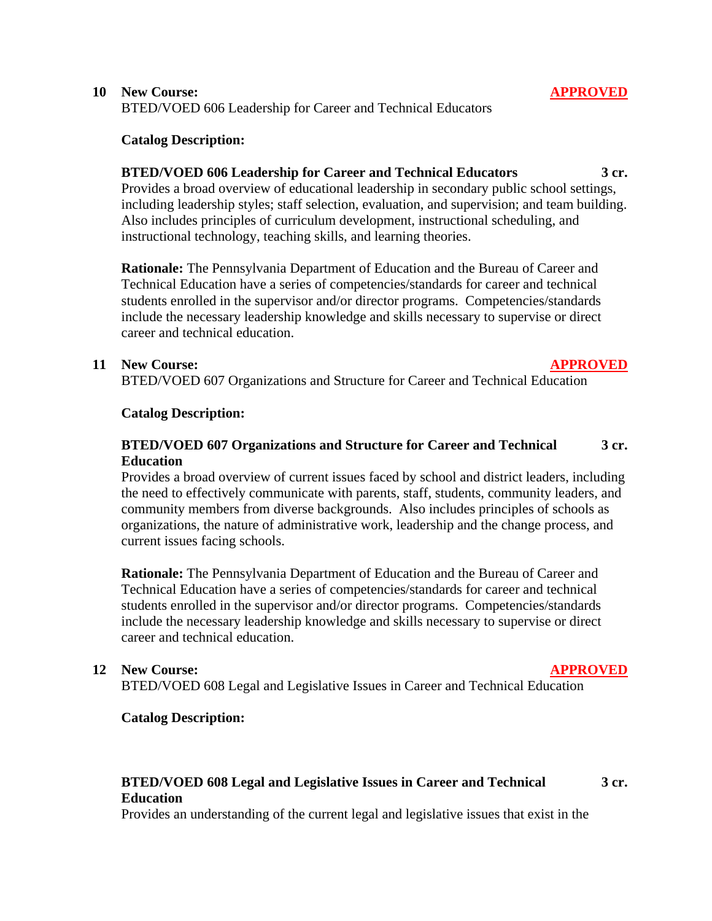BTED/VOED 606 Leadership for Career and Technical Educators

# **Catalog Description:**

# **BTED/VOED 606 Leadership for Career and Technical Educators 3 cr.**

 Provides a broad overview of educational leadership in secondary public school settings, including leadership styles; staff selection, evaluation, and supervision; and team building. Also includes principles of curriculum development, instructional scheduling, and instructional technology, teaching skills, and learning theories.

**Rationale:** The Pennsylvania Department of Education and the Bureau of Career and Technical Education have a series of competencies/standards for career and technical students enrolled in the supervisor and/or director programs. Competencies/standards include the necessary leadership knowledge and skills necessary to supervise or direct career and technical education.

# **11 New Course: APPROVED**

**3 cr.**

BTED/VOED 607 Organizations and Structure for Career and Technical Education

# **Catalog Description:**

#### **BTED/VOED 607 Organizations and Structure for Career and Technical Education 3 cr.**

 Provides a broad overview of current issues faced by school and district leaders, including the need to effectively communicate with parents, staff, students, community leaders, and community members from diverse backgrounds. Also includes principles of schools as organizations, the nature of administrative work, leadership and the change process, and current issues facing schools.

**Rationale:** The Pennsylvania Department of Education and the Bureau of Career and Technical Education have a series of competencies/standards for career and technical students enrolled in the supervisor and/or director programs. Competencies/standards include the necessary leadership knowledge and skills necessary to supervise or direct career and technical education.

# **12 New Course: APPROVED**

BTED/VOED 608 Legal and Legislative Issues in Career and Technical Education

# **Catalog Description:**

# **BTED/VOED 608 Legal and Legislative Issues in Career and Technical Education**

Provides an understanding of the current legal and legislative issues that exist in the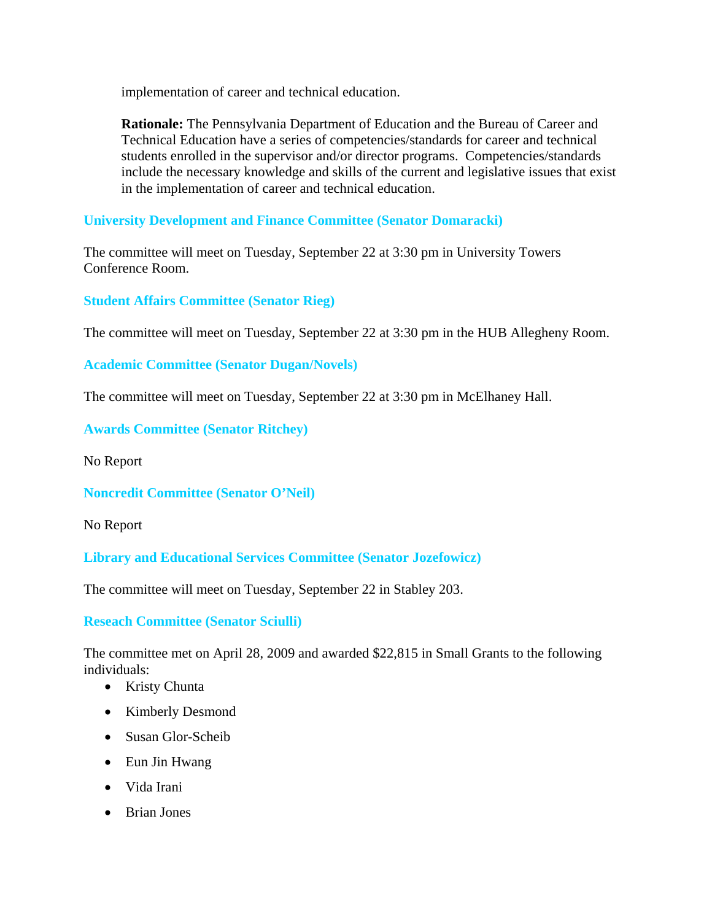implementation of career and technical education.

**Rationale:** The Pennsylvania Department of Education and the Bureau of Career and Technical Education have a series of competencies/standards for career and technical students enrolled in the supervisor and/or director programs. Competencies/standards include the necessary knowledge and skills of the current and legislative issues that exist in the implementation of career and technical education.

**University Development and Finance Committee (Senator Domaracki)** 

The committee will meet on Tuesday, September 22 at 3:30 pm in University Towers Conference Room.

**Student Affairs Committee (Senator Rieg)**

The committee will meet on Tuesday, September 22 at 3:30 pm in the HUB Allegheny Room.

**Academic Committee (Senator Dugan/Novels)**

The committee will meet on Tuesday, September 22 at 3:30 pm in McElhaney Hall.

**Awards Committee (Senator Ritchey)**

No Report

**Noncredit Committee (Senator O'Neil)**

No Report

**Library and Educational Services Committee (Senator Jozefowicz)**

The committee will meet on Tuesday, September 22 in Stabley 203.

**Reseach Committee (Senator Sciulli)**

The committee met on April 28, 2009 and awarded \$22,815 in Small Grants to the following individuals:

- Kristy Chunta
- Kimberly Desmond
- Susan Glor-Scheib
- Eun Jin Hwang
- Vida Irani
- Brian Jones